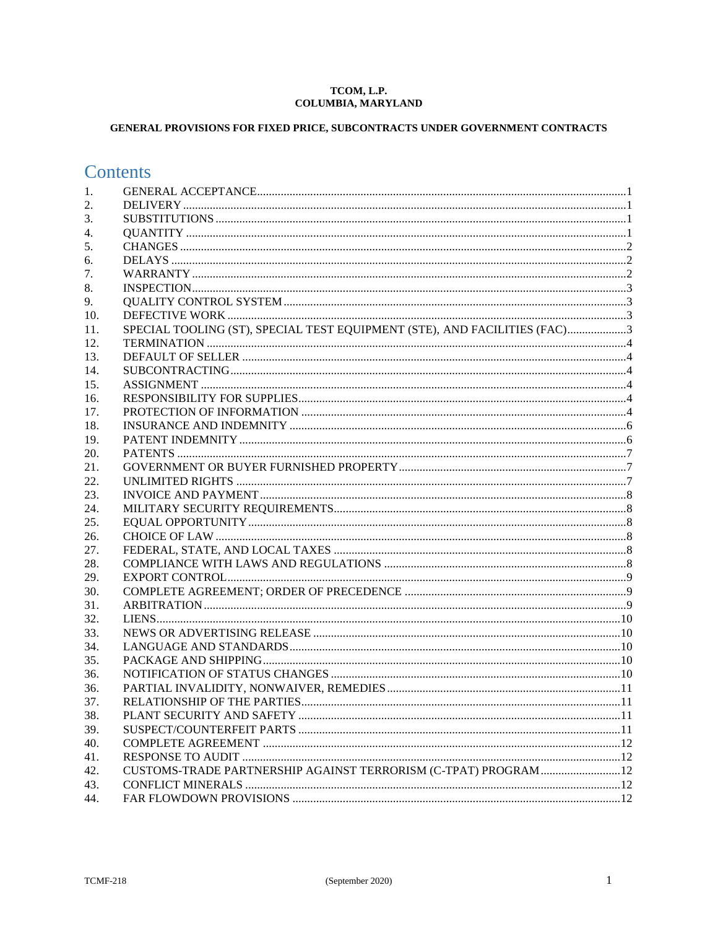#### TCOM, L.P. **COLUMBIA, MARYLAND**

## GENERAL PROVISIONS FOR FIXED PRICE, SUBCONTRACTS UNDER GOVERNMENT CONTRACTS

# **Contents**

| 1.  |                                                                           |  |
|-----|---------------------------------------------------------------------------|--|
| 2.  |                                                                           |  |
| 3.  |                                                                           |  |
| 4.  |                                                                           |  |
| 5.  |                                                                           |  |
| 6.  |                                                                           |  |
| 7.  |                                                                           |  |
| 8.  |                                                                           |  |
| 9.  |                                                                           |  |
| 10. |                                                                           |  |
| 11. | SPECIAL TOOLING (ST), SPECIAL TEST EQUIPMENT (STE), AND FACILITIES (FAC)3 |  |
| 12. |                                                                           |  |
| 13. |                                                                           |  |
| 14. |                                                                           |  |
| 15. |                                                                           |  |
| 16. |                                                                           |  |
| 17. |                                                                           |  |
| 18. |                                                                           |  |
| 19. |                                                                           |  |
| 20. |                                                                           |  |
| 21. |                                                                           |  |
| 22. |                                                                           |  |
| 23. |                                                                           |  |
| 24. |                                                                           |  |
| 25. |                                                                           |  |
| 26. |                                                                           |  |
| 27. |                                                                           |  |
| 28. |                                                                           |  |
| 29. |                                                                           |  |
| 30. |                                                                           |  |
| 31. |                                                                           |  |
| 32. |                                                                           |  |
| 33. |                                                                           |  |
| 34. |                                                                           |  |
| 35. |                                                                           |  |
| 36. |                                                                           |  |
| 36. |                                                                           |  |
| 37. |                                                                           |  |
| 38. |                                                                           |  |
| 39. |                                                                           |  |
| 40. |                                                                           |  |
| 41. |                                                                           |  |
| 42. | CUSTOMS-TRADE PARTNERSHIP AGAINST TERRORISM (C-TPAT) PROGRAM 12           |  |
| 43. |                                                                           |  |
| 44. |                                                                           |  |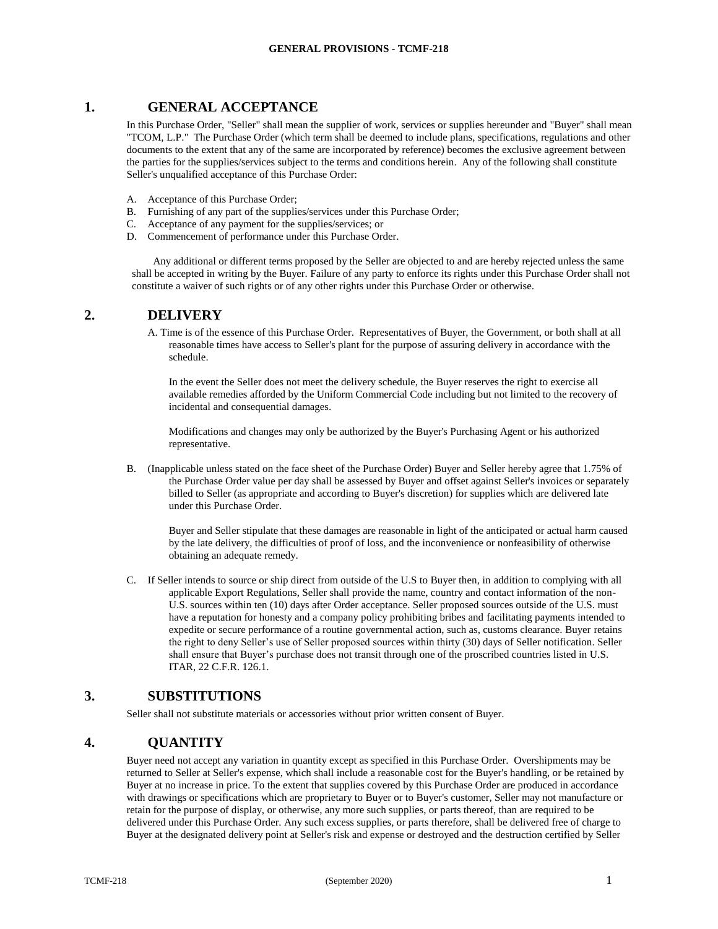#### <span id="page-1-0"></span>**1. GENERAL ACCEPTANCE**

In this Purchase Order, "Seller" shall mean the supplier of work, services or supplies hereunder and "Buyer" shall mean "TCOM, L.P." The Purchase Order (which term shall be deemed to include plans, specifications, regulations and other documents to the extent that any of the same are incorporated by reference) becomes the exclusive agreement between the parties for the supplies/services subject to the terms and conditions herein. Any of the following shall constitute Seller's unqualified acceptance of this Purchase Order:

- A. Acceptance of this Purchase Order;
- B. Furnishing of any part of the supplies/services under this Purchase Order;
- C. Acceptance of any payment for the supplies/services; or
- D. Commencement of performance under this Purchase Order.

 Any additional or different terms proposed by the Seller are objected to and are hereby rejected unless the same shall be accepted in writing by the Buyer. Failure of any party to enforce its rights under this Purchase Order shall not constitute a waiver of such rights or of any other rights under this Purchase Order or otherwise.

#### <span id="page-1-1"></span>**2. DELIVERY**

A. Time is of the essence of this Purchase Order. Representatives of Buyer, the Government, or both shall at all reasonable times have access to Seller's plant for the purpose of assuring delivery in accordance with the schedule.

In the event the Seller does not meet the delivery schedule, the Buyer reserves the right to exercise all available remedies afforded by the Uniform Commercial Code including but not limited to the recovery of incidental and consequential damages.

Modifications and changes may only be authorized by the Buyer's Purchasing Agent or his authorized representative.

B. (Inapplicable unless stated on the face sheet of the Purchase Order) Buyer and Seller hereby agree that 1.75% of the Purchase Order value per day shall be assessed by Buyer and offset against Seller's invoices or separately billed to Seller (as appropriate and according to Buyer's discretion) for supplies which are delivered late under this Purchase Order.

Buyer and Seller stipulate that these damages are reasonable in light of the anticipated or actual harm caused by the late delivery, the difficulties of proof of loss, and the inconvenience or nonfeasibility of otherwise obtaining an adequate remedy.

C. If Seller intends to source or ship direct from outside of the U.S to Buyer then, in addition to complying with all applicable Export Regulations, Seller shall provide the name, country and contact information of the non-U.S. sources within ten (10) days after Order acceptance. Seller proposed sources outside of the U.S. must have a reputation for honesty and a company policy prohibiting bribes and facilitating payments intended to expedite or secure performance of a routine governmental action, such as, customs clearance. Buyer retains the right to deny Seller's use of Seller proposed sources within thirty (30) days of Seller notification. Seller shall ensure that Buyer's purchase does not transit through one of the proscribed countries listed in U.S. ITAR, 22 C.F.R. 126.1.

## <span id="page-1-2"></span>**3. SUBSTITUTIONS**

Seller shall not substitute materials or accessories without prior written consent of Buyer.

## <span id="page-1-3"></span>**4. QUANTITY**

Buyer need not accept any variation in quantity except as specified in this Purchase Order. Overshipments may be returned to Seller at Seller's expense, which shall include a reasonable cost for the Buyer's handling, or be retained by Buyer at no increase in price. To the extent that supplies covered by this Purchase Order are produced in accordance with drawings or specifications which are proprietary to Buyer or to Buyer's customer, Seller may not manufacture or retain for the purpose of display, or otherwise, any more such supplies, or parts thereof, than are required to be delivered under this Purchase Order. Any such excess supplies, or parts therefore, shall be delivered free of charge to Buyer at the designated delivery point at Seller's risk and expense or destroyed and the destruction certified by Seller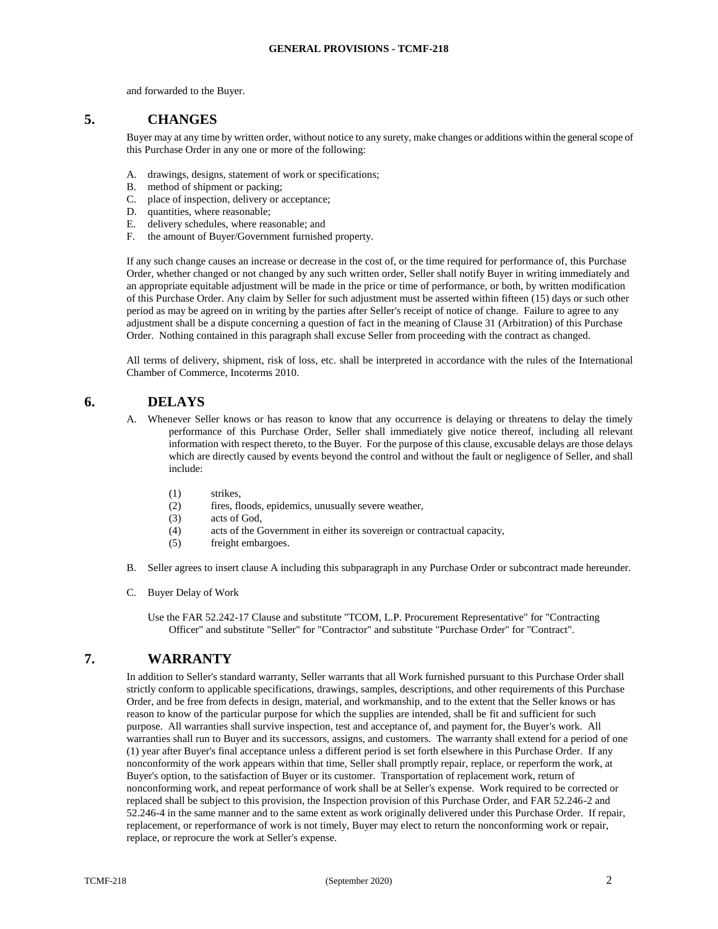and forwarded to the Buyer.

#### <span id="page-2-0"></span>**5. CHANGES**

Buyer may at any time by written order, without notice to any surety, make changes or additions within the general scope of this Purchase Order in any one or more of the following:

- A. drawings, designs, statement of work or specifications;
- B. method of shipment or packing;
- C. place of inspection, delivery or acceptance;
- D. quantities, where reasonable;
- E. delivery schedules, where reasonable; and
- F. the amount of Buyer/Government furnished property.

If any such change causes an increase or decrease in the cost of, or the time required for performance of, this Purchase Order, whether changed or not changed by any such written order, Seller shall notify Buyer in writing immediately and an appropriate equitable adjustment will be made in the price or time of performance, or both, by written modification of this Purchase Order. Any claim by Seller for such adjustment must be asserted within fifteen (15) days or such other period as may be agreed on in writing by the parties after Seller's receipt of notice of change. Failure to agree to any adjustment shall be a dispute concerning a question of fact in the meaning of Clause 31 (Arbitration) of this Purchase Order. Nothing contained in this paragraph shall excuse Seller from proceeding with the contract as changed.

All terms of delivery, shipment, risk of loss, etc. shall be interpreted in accordance with the rules of the International Chamber of Commerce, Incoterms 2010.

#### <span id="page-2-1"></span>**6. DELAYS**

- A. Whenever Seller knows or has reason to know that any occurrence is delaying or threatens to delay the timely performance of this Purchase Order, Seller shall immediately give notice thereof, including all relevant information with respect thereto, to the Buyer. For the purpose of this clause, excusable delays are those delays which are directly caused by events beyond the control and without the fault or negligence of Seller, and shall include:
	- (1) strikes,
	- (2) fires, floods, epidemics, unusually severe weather,
	- (3) acts of God,
	- (4) acts of the Government in either its sovereign or contractual capacity,
	- (5) freight embargoes.
- B. Seller agrees to insert clause A including this subparagraph in any Purchase Order or subcontract made hereunder.
- C. Buyer Delay of Work

Use the FAR 52.242-17 Clause and substitute "TCOM, L.P. Procurement Representative" for "Contracting Officer" and substitute "Seller" for "Contractor" and substitute "Purchase Order" for "Contract".

### <span id="page-2-2"></span>**7. WARRANTY**

In addition to Seller's standard warranty, Seller warrants that all Work furnished pursuant to this Purchase Order shall strictly conform to applicable specifications, drawings, samples, descriptions, and other requirements of this Purchase Order, and be free from defects in design, material, and workmanship, and to the extent that the Seller knows or has reason to know of the particular purpose for which the supplies are intended, shall be fit and sufficient for such purpose. All warranties shall survive inspection, test and acceptance of, and payment for, the Buyer's work. All warranties shall run to Buyer and its successors, assigns, and customers. The warranty shall extend for a period of one (1) year after Buyer's final acceptance unless a different period is set forth elsewhere in this Purchase Order. If any nonconformity of the work appears within that time, Seller shall promptly repair, replace, or reperform the work, at Buyer's option, to the satisfaction of Buyer or its customer. Transportation of replacement work, return of nonconforming work, and repeat performance of work shall be at Seller's expense. Work required to be corrected or replaced shall be subject to this provision, the Inspection provision of this Purchase Order, and FAR 52.246-2 and 52.246-4 in the same manner and to the same extent as work originally delivered under this Purchase Order. If repair, replacement, or reperformance of work is not timely, Buyer may elect to return the nonconforming work or repair, replace, or reprocure the work at Seller's expense.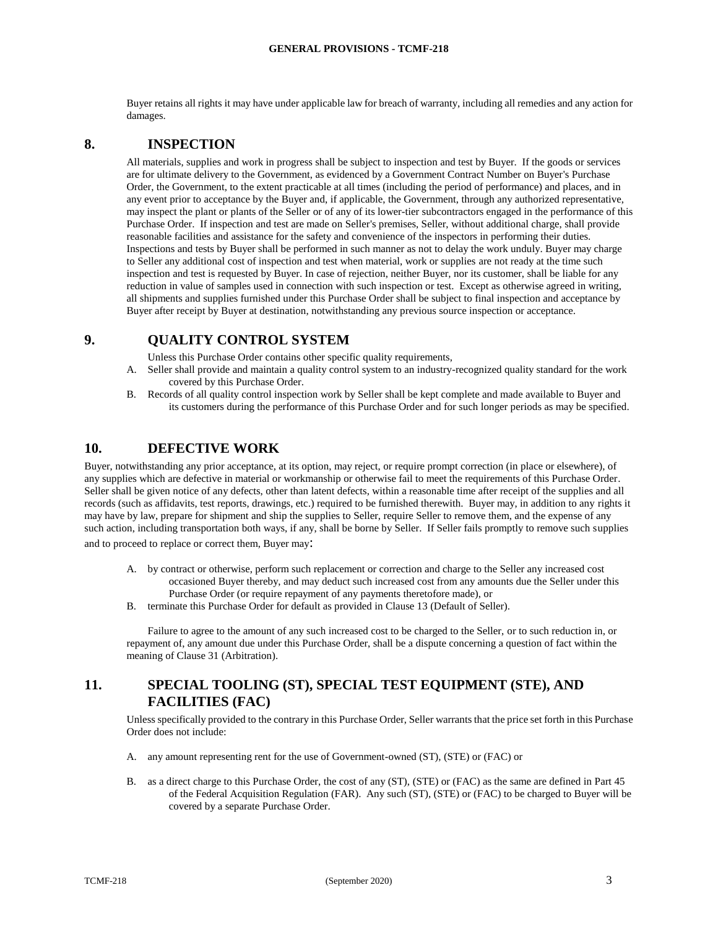Buyer retains all rights it may have under applicable law for breach of warranty, including all remedies and any action for damages.

#### <span id="page-3-0"></span>**8. INSPECTION**

All materials, supplies and work in progress shall be subject to inspection and test by Buyer. If the goods or services are for ultimate delivery to the Government, as evidenced by a Government Contract Number on Buyer's Purchase Order, the Government, to the extent practicable at all times (including the period of performance) and places, and in any event prior to acceptance by the Buyer and, if applicable, the Government, through any authorized representative, may inspect the plant or plants of the Seller or of any of its lower-tier subcontractors engaged in the performance of this Purchase Order. If inspection and test are made on Seller's premises, Seller, without additional charge, shall provide reasonable facilities and assistance for the safety and convenience of the inspectors in performing their duties. Inspections and tests by Buyer shall be performed in such manner as not to delay the work unduly. Buyer may charge to Seller any additional cost of inspection and test when material, work or supplies are not ready at the time such inspection and test is requested by Buyer. In case of rejection, neither Buyer, nor its customer, shall be liable for any reduction in value of samples used in connection with such inspection or test. Except as otherwise agreed in writing, all shipments and supplies furnished under this Purchase Order shall be subject to final inspection and acceptance by Buyer after receipt by Buyer at destination, notwithstanding any previous source inspection or acceptance.

### <span id="page-3-1"></span>**9. QUALITY CONTROL SYSTEM**

Unless this Purchase Order contains other specific quality requirements,

- A. Seller shall provide and maintain a quality control system to an industry-recognized quality standard for the work covered by this Purchase Order.
- B. Records of all quality control inspection work by Seller shall be kept complete and made available to Buyer and its customers during the performance of this Purchase Order and for such longer periods as may be specified.

#### <span id="page-3-2"></span>**10. DEFECTIVE WORK**

Buyer, notwithstanding any prior acceptance, at its option, may reject, or require prompt correction (in place or elsewhere), of any supplies which are defective in material or workmanship or otherwise fail to meet the requirements of this Purchase Order. Seller shall be given notice of any defects, other than latent defects, within a reasonable time after receipt of the supplies and all records (such as affidavits, test reports, drawings, etc.) required to be furnished therewith. Buyer may, in addition to any rights it may have by law, prepare for shipment and ship the supplies to Seller, require Seller to remove them, and the expense of any such action, including transportation both ways, if any, shall be borne by Seller. If Seller fails promptly to remove such supplies

and to proceed to replace or correct them, Buyer may:

- A. by contract or otherwise, perform such replacement or correction and charge to the Seller any increased cost occasioned Buyer thereby, and may deduct such increased cost from any amounts due the Seller under this Purchase Order (or require repayment of any payments theretofore made), or
- B. terminate this Purchase Order for default as provided in Clause 13 (Default of Seller).

Failure to agree to the amount of any such increased cost to be charged to the Seller, or to such reduction in, or repayment of, any amount due under this Purchase Order, shall be a dispute concerning a question of fact within the meaning of Clause 31 (Arbitration).

## <span id="page-3-3"></span>**11. SPECIAL TOOLING (ST), SPECIAL TEST EQUIPMENT (STE), AND FACILITIES (FAC)**

Unless specifically provided to the contrary in this Purchase Order, Seller warrants that the price set forth in this Purchase Order does not include:

- A. any amount representing rent for the use of Government-owned (ST), (STE) or (FAC) or
- B. as a direct charge to this Purchase Order, the cost of any (ST), (STE) or (FAC) as the same are defined in Part 45 of the Federal Acquisition Regulation (FAR). Any such (ST), (STE) or (FAC) to be charged to Buyer will be covered by a separate Purchase Order.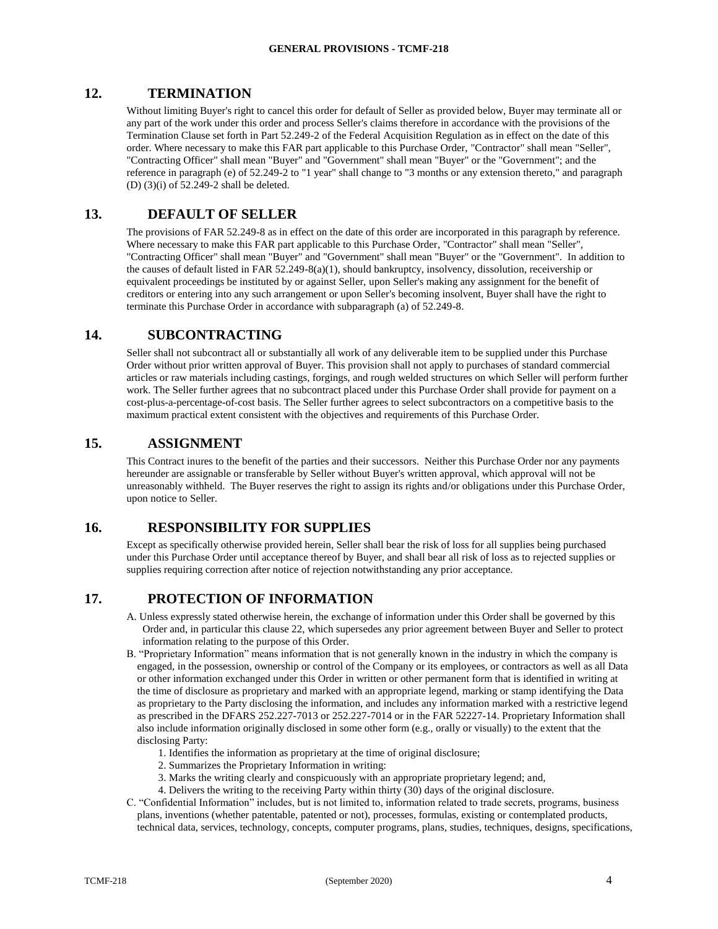#### <span id="page-4-0"></span>**12. TERMINATION**

Without limiting Buyer's right to cancel this order for default of Seller as provided below, Buyer may terminate all or any part of the work under this order and process Seller's claims therefore in accordance with the provisions of the Termination Clause set forth in Part 52.249-2 of the Federal Acquisition Regulation as in effect on the date of this order. Where necessary to make this FAR part applicable to this Purchase Order, "Contractor" shall mean "Seller", "Contracting Officer" shall mean "Buyer" and "Government" shall mean "Buyer" or the "Government"; and the reference in paragraph (e) of 52.249-2 to "1 year" shall change to "3 months or any extension thereto," and paragraph (D) (3)(i) of 52.249-2 shall be deleted.

#### <span id="page-4-1"></span>**13. DEFAULT OF SELLER**

The provisions of FAR 52.249-8 as in effect on the date of this order are incorporated in this paragraph by reference. Where necessary to make this FAR part applicable to this Purchase Order, "Contractor" shall mean "Seller", "Contracting Officer" shall mean "Buyer" and "Government" shall mean "Buyer" or the "Government". In addition to the causes of default listed in FAR 52.249-8(a)(1), should bankruptcy, insolvency, dissolution, receivership or equivalent proceedings be instituted by or against Seller, upon Seller's making any assignment for the benefit of creditors or entering into any such arrangement or upon Seller's becoming insolvent, Buyer shall have the right to terminate this Purchase Order in accordance with subparagraph (a) of 52.249-8.

#### <span id="page-4-2"></span>**14. SUBCONTRACTING**

Seller shall not subcontract all or substantially all work of any deliverable item to be supplied under this Purchase Order without prior written approval of Buyer. This provision shall not apply to purchases of standard commercial articles or raw materials including castings, forgings, and rough welded structures on which Seller will perform further work. The Seller further agrees that no subcontract placed under this Purchase Order shall provide for payment on a cost-plus-a-percentage-of-cost basis. The Seller further agrees to select subcontractors on a competitive basis to the maximum practical extent consistent with the objectives and requirements of this Purchase Order.

#### <span id="page-4-3"></span>**15. ASSIGNMENT**

This Contract inures to the benefit of the parties and their successors. Neither this Purchase Order nor any payments hereunder are assignable or transferable by Seller without Buyer's written approval, which approval will not be unreasonably withheld. The Buyer reserves the right to assign its rights and/or obligations under this Purchase Order, upon notice to Seller.

#### <span id="page-4-4"></span>**16. RESPONSIBILITY FOR SUPPLIES**

Except as specifically otherwise provided herein, Seller shall bear the risk of loss for all supplies being purchased under this Purchase Order until acceptance thereof by Buyer, and shall bear all risk of loss as to rejected supplies or supplies requiring correction after notice of rejection notwithstanding any prior acceptance.

### <span id="page-4-5"></span>**17. PROTECTION OF INFORMATION**

- A. Unless expressly stated otherwise herein, the exchange of information under this Order shall be governed by this Order and, in particular this clause 22, which supersedes any prior agreement between Buyer and Seller to protect information relating to the purpose of this Order.
- B. "Proprietary Information" means information that is not generally known in the industry in which the company is engaged, in the possession, ownership or control of the Company or its employees, or contractors as well as all Data or other information exchanged under this Order in written or other permanent form that is identified in writing at the time of disclosure as proprietary and marked with an appropriate legend, marking or stamp identifying the Data as proprietary to the Party disclosing the information, and includes any information marked with a restrictive legend as prescribed in the DFARS 252.227-7013 or 252.227-7014 or in the FAR 52227-14. Proprietary Information shall also include information originally disclosed in some other form (e.g., orally or visually) to the extent that the disclosing Party:
	- 1. Identifies the information as proprietary at the time of original disclosure;
	- 2. Summarizes the Proprietary Information in writing:
	- 3. Marks the writing clearly and conspicuously with an appropriate proprietary legend; and,
	- 4. Delivers the writing to the receiving Party within thirty (30) days of the original disclosure.
- C. "Confidential Information" includes, but is not limited to, information related to trade secrets, programs, business plans, inventions (whether patentable, patented or not), processes, formulas, existing or contemplated products, technical data, services, technology, concepts, computer programs, plans, studies, techniques, designs, specifications,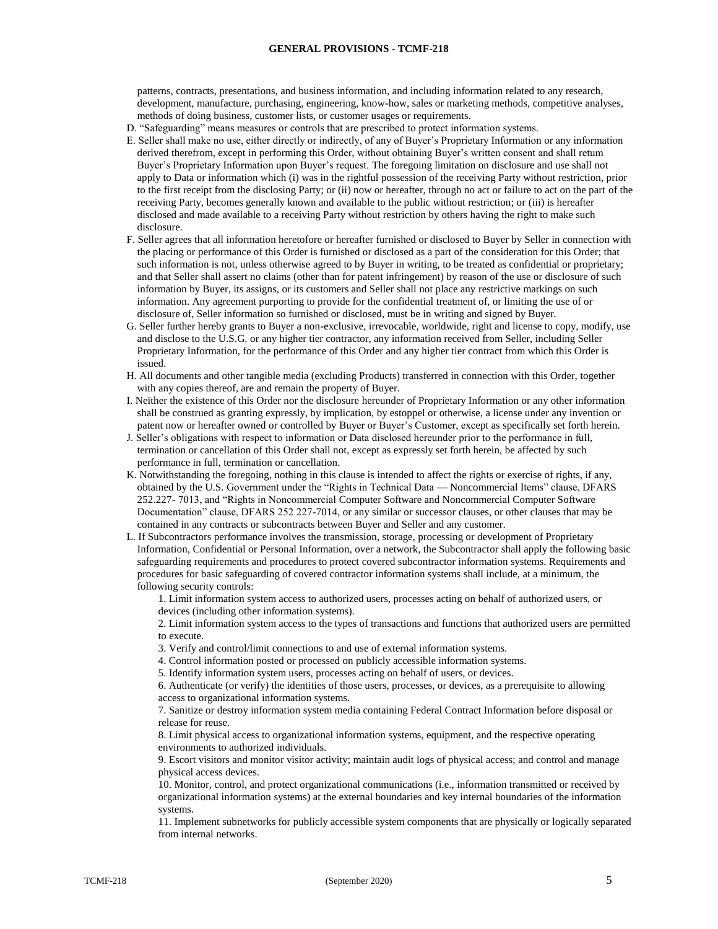patterns, contracts, presentations, and business information, and including information related to any research, development, manufacture, purchasing, engineering, know-how, sales or marketing methods, competitive analyses, methods of doing business, customer lists, or customer usages or requirements.

- D. "Safeguarding" means measures or controls that are prescribed to protect information systems.
- E. Seller shall make no use, either directly or indirectly, of any of Buyer's Proprietary Information or any information derived therefrom, except in performing this Order, without obtaining Buyer's written consent and shall retum Buyer's Proprietary Information upon Buyer's request. The foregoing limitation on disclosure and use shall not apply to Data or information which (i) was in the rightful possession of the receiving Party without restriction, prior to the first receipt from the disclosing Party; or (ii) now or hereafter, through no act or failure to act on the part of the receiving Party, becomes generally known and available to the public without restriction; or (iii) is hereafter disclosed and made available to a receiving Party without restriction by others having the right to make such disclosure.
- F. Seller agrees that all information heretofore or hereafter furnished or disclosed to Buyer by Seller in connection with the placing or performance of this Order is furnished or disclosed as a part of the consideration for this Order; that such information is not, unless otherwise agreed to by Buyer in writing, to be treated as confidential or proprietary; and that Seller shall assert no claims (other than for patent infringement) by reason of the use or disclosure of such information by Buyer, its assigns, or its customers and Seller shall not place any restrictive markings on such information. Any agreement purporting to provide for the confidential treatment of, or limiting the use of or disclosure of, Seller information so furnished or disclosed, must be in writing and signed by Buyer.
- G. Seller further hereby grants to Buyer a non-exclusive, irrevocable, worldwide, right and license to copy, modify, use and disclose to the U.S.G. or any higher tier contractor, any information received from Seller, including Seller Proprietary Information, for the performance of this Order and any higher tier contract from which this Order is issued.
- H. All documents and other tangible media (excluding Products) transferred in connection with this Order, together with any copies thereof, are and remain the property of Buyer.
- I. Neither the existence of this Order nor the disclosure hereunder of Proprietary Information or any other information shall be construed as granting expressly, by implication, by estoppel or otherwise, a license under any invention or patent now or hereafter owned or controlled by Buyer or Buyer's Customer, except as specifically set forth herein.
- J. Seller's obligations with respect to information or Data disclosed hereunder prior to the performance in full, termination or cancellation of this Order shall not, except as expressly set forth herein, be affected by such performance in full, termination or cancellation.
- K. Notwithstanding the foregoing, nothing in this clause is intended to affect the rights or exercise of rights, if any, obtained by the U.S. Government under the "Rights in Technical Data — Noncommercial Items" clause, DFARS 252.227- 7013, and "Rights in Noncommercial Computer Software and Noncommercial Computer Software Documentation" clause, DFARS 252 227-7014, or any similar or successor clauses, or other clauses that may be contained in any contracts or subcontracts between Buyer and Seller and any customer.
- L. If Subcontractors performance involves the transmission, storage, processing or development of Proprietary Information, Confidential or Personal Information, over a network, the Subcontractor shall apply the following basic safeguarding requirements and procedures to protect covered subcontractor information systems. Requirements and procedures for basic safeguarding of covered contractor information systems shall include, at a minimum, the following security controls:

1. Limit information system access to authorized users, processes acting on behalf of authorized users, or devices (including other information systems).

2. Limit information system access to the types of transactions and functions that authorized users are permitted to execute.

3. Verify and control/limit connections to and use of external information systems.

4. Control information posted or processed on publicly accessible information systems.

5. Identify information system users, processes acting on behalf of users, or devices.

6. Authenticate (or verify) the identities of those users, processes, or devices, as a prerequisite to allowing access to organizational information systems.

7. Sanitize or destroy information system media containing Federal Contract Information before disposal or release for reuse.

8. Limit physical access to organizational information systems, equipment, and the respective operating environments to authorized individuals.

9. Escort visitors and monitor visitor activity; maintain audit logs of physical access; and control and manage physical access devices.

10. Monitor, control, and protect organizational communications (i.e., information transmitted or received by organizational information systems) at the external boundaries and key internal boundaries of the information systems.

11. Implement subnetworks for publicly accessible system components that are physically or logically separated from internal networks.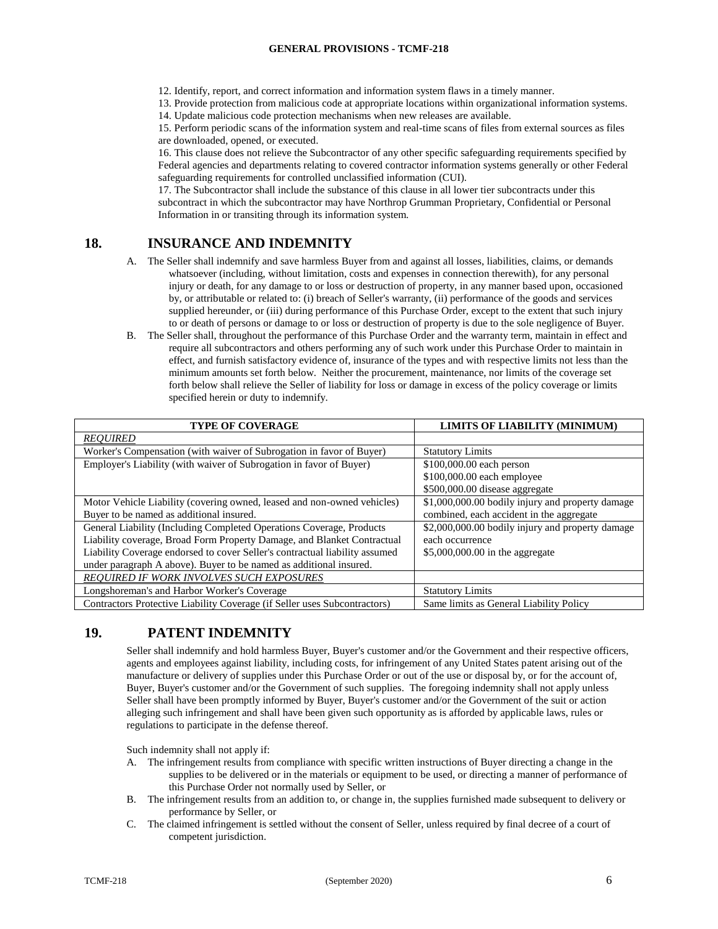12. Identify, report, and correct information and information system flaws in a timely manner.

13. Provide protection from malicious code at appropriate locations within organizational information systems.

14. Update malicious code protection mechanisms when new releases are available.

15. Perform periodic scans of the information system and real-time scans of files from external sources as files are downloaded, opened, or executed.

16. This clause does not relieve the Subcontractor of any other specific safeguarding requirements specified by Federal agencies and departments relating to covered contractor information systems generally or other Federal safeguarding requirements for controlled unclassified information (CUI).

17. The Subcontractor shall include the substance of this clause in all lower tier subcontracts under this subcontract in which the subcontractor may have Northrop Grumman Proprietary, Confidential or Personal Information in or transiting through its information system.

## <span id="page-6-0"></span>**18. INSURANCE AND INDEMNITY**

- A. The Seller shall indemnify and save harmless Buyer from and against all losses, liabilities, claims, or demands whatsoever (including, without limitation, costs and expenses in connection therewith), for any personal injury or death, for any damage to or loss or destruction of property, in any manner based upon, occasioned by, or attributable or related to: (i) breach of Seller's warranty, (ii) performance of the goods and services supplied hereunder, or (iii) during performance of this Purchase Order, except to the extent that such injury to or death of persons or damage to or loss or destruction of property is due to the sole negligence of Buyer.
- B. The Seller shall, throughout the performance of this Purchase Order and the warranty term, maintain in effect and require all subcontractors and others performing any of such work under this Purchase Order to maintain in effect, and furnish satisfactory evidence of, insurance of the types and with respective limits not less than the minimum amounts set forth below. Neither the procurement, maintenance, nor limits of the coverage set forth below shall relieve the Seller of liability for loss or damage in excess of the policy coverage or limits specified herein or duty to indemnify.

| <b>TYPE OF COVERAGE</b>                                                     | LIMITS OF LIABILITY (MINIMUM)                    |
|-----------------------------------------------------------------------------|--------------------------------------------------|
| <b>REOUIRED</b>                                                             |                                                  |
| Worker's Compensation (with waiver of Subrogation in favor of Buyer)        | <b>Statutory Limits</b>                          |
| Employer's Liability (with waiver of Subrogation in favor of Buyer)         | \$100,000.00 each person                         |
|                                                                             | \$100,000.00 each employee                       |
|                                                                             | \$500,000.00 disease aggregate                   |
| Motor Vehicle Liability (covering owned, leased and non-owned vehicles)     | \$1,000,000.00 bodily injury and property damage |
| Buyer to be named as additional insured.                                    | combined, each accident in the aggregate         |
| General Liability (Including Completed Operations Coverage, Products        | \$2,000,000.00 bodily injury and property damage |
| Liability coverage, Broad Form Property Damage, and Blanket Contractual     | each occurrence                                  |
| Liability Coverage endorsed to cover Seller's contractual liability assumed | $$5,000,000.00$ in the aggregate                 |
| under paragraph A above). Buyer to be named as additional insured.          |                                                  |
| REOUIRED IF WORK INVOLVES SUCH EXPOSURES                                    |                                                  |
| Longshoreman's and Harbor Worker's Coverage                                 | <b>Statutory Limits</b>                          |
| Contractors Protective Liability Coverage (if Seller uses Subcontractors)   | Same limits as General Liability Policy          |

## <span id="page-6-1"></span>**19. PATENT INDEMNITY**

Seller shall indemnify and hold harmless Buyer, Buyer's customer and/or the Government and their respective officers, agents and employees against liability, including costs, for infringement of any United States patent arising out of the manufacture or delivery of supplies under this Purchase Order or out of the use or disposal by, or for the account of, Buyer, Buyer's customer and/or the Government of such supplies. The foregoing indemnity shall not apply unless Seller shall have been promptly informed by Buyer, Buyer's customer and/or the Government of the suit or action alleging such infringement and shall have been given such opportunity as is afforded by applicable laws, rules or regulations to participate in the defense thereof.

Such indemnity shall not apply if:

- A. The infringement results from compliance with specific written instructions of Buyer directing a change in the supplies to be delivered or in the materials or equipment to be used, or directing a manner of performance of this Purchase Order not normally used by Seller, or
- B. The infringement results from an addition to, or change in, the supplies furnished made subsequent to delivery or performance by Seller, or
- C. The claimed infringement is settled without the consent of Seller, unless required by final decree of a court of competent jurisdiction.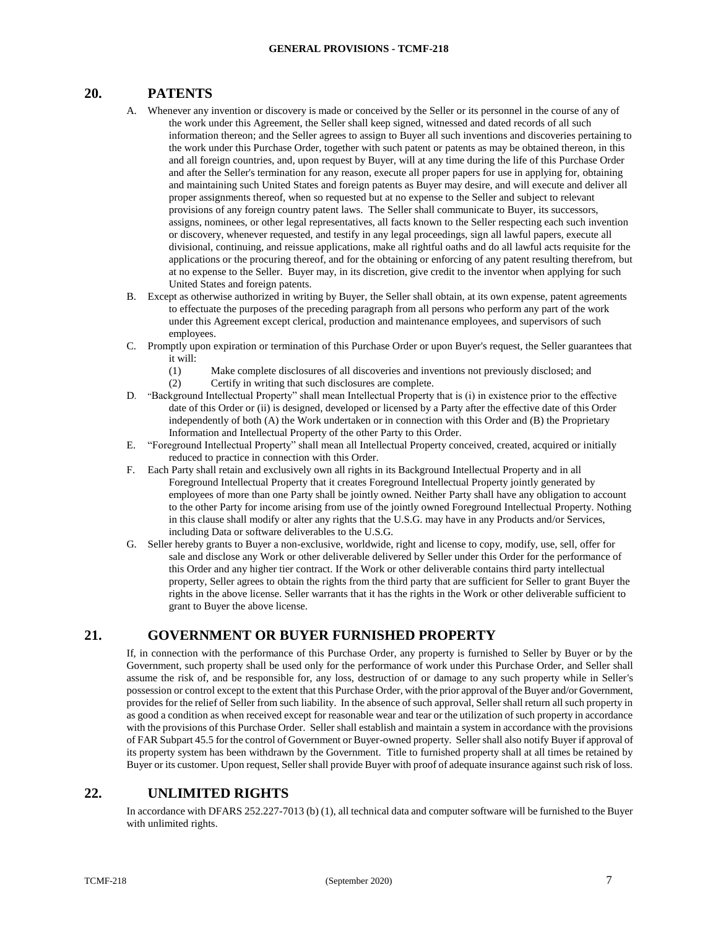## <span id="page-7-0"></span>**20. PATENTS**

- A. Whenever any invention or discovery is made or conceived by the Seller or its personnel in the course of any of the work under this Agreement, the Seller shall keep signed, witnessed and dated records of all such information thereon; and the Seller agrees to assign to Buyer all such inventions and discoveries pertaining to the work under this Purchase Order, together with such patent or patents as may be obtained thereon, in this and all foreign countries, and, upon request by Buyer, will at any time during the life of this Purchase Order and after the Seller's termination for any reason, execute all proper papers for use in applying for, obtaining and maintaining such United States and foreign patents as Buyer may desire, and will execute and deliver all proper assignments thereof, when so requested but at no expense to the Seller and subject to relevant provisions of any foreign country patent laws. The Seller shall communicate to Buyer, its successors, assigns, nominees, or other legal representatives, all facts known to the Seller respecting each such invention or discovery, whenever requested, and testify in any legal proceedings, sign all lawful papers, execute all divisional, continuing, and reissue applications, make all rightful oaths and do all lawful acts requisite for the applications or the procuring thereof, and for the obtaining or enforcing of any patent resulting therefrom, but at no expense to the Seller. Buyer may, in its discretion, give credit to the inventor when applying for such United States and foreign patents.
- B. Except as otherwise authorized in writing by Buyer, the Seller shall obtain, at its own expense, patent agreements to effectuate the purposes of the preceding paragraph from all persons who perform any part of the work under this Agreement except clerical, production and maintenance employees, and supervisors of such employees.
- C. Promptly upon expiration or termination of this Purchase Order or upon Buyer's request, the Seller guarantees that it will:
	- (1) Make complete disclosures of all discoveries and inventions not previously disclosed; and
	- (2) Certify in writing that such disclosures are complete.
- D. "Background Intellectual Property" shall mean Intellectual Property that is (i) in existence prior to the effective date of this Order or (ii) is designed, developed or licensed by a Party after the effective date of this Order independently of both (A) the Work undertaken or in connection with this Order and (B) the Proprietary Information and Intellectual Property of the other Party to this Order.
- E. "Foreground Intellectual Property" shall mean all Intellectual Property conceived, created, acquired or initially reduced to practice in connection with this Order.
- F. Each Party shall retain and exclusively own all rights in its Background Intellectual Property and in all Foreground Intellectual Property that it creates Foreground Intellectual Property jointly generated by employees of more than one Party shall be jointly owned. Neither Party shall have any obligation to account to the other Party for income arising from use of the jointly owned Foreground Intellectual Property. Nothing in this clause shall modify or alter any rights that the U.S.G. may have in any Products and/or Services, including Data or software deliverables to the U.S.G.
- G. Seller hereby grants to Buyer a non-exclusive, worldwide, right and license to copy, modify, use, sell, offer for sale and disclose any Work or other deliverable delivered by Seller under this Order for the performance of this Order and any higher tier contract. If the Work or other deliverable contains third party intellectual property, Seller agrees to obtain the rights from the third party that are sufficient for Seller to grant Buyer the rights in the above license. Seller warrants that it has the rights in the Work or other deliverable sufficient to grant to Buyer the above license.

## <span id="page-7-1"></span>**21. GOVERNMENT OR BUYER FURNISHED PROPERTY**

If, in connection with the performance of this Purchase Order, any property is furnished to Seller by Buyer or by the Government, such property shall be used only for the performance of work under this Purchase Order, and Seller shall assume the risk of, and be responsible for, any loss, destruction of or damage to any such property while in Seller's possession or control except to the extent that this Purchase Order, with the prior approval of the Buyer and/or Government, provides for the relief of Seller from such liability. In the absence of such approval, Seller shall return all such property in as good a condition as when received except for reasonable wear and tear or the utilization of such property in accordance with the provisions of this Purchase Order. Seller shall establish and maintain a system in accordance with the provisions of FAR Subpart 45.5 for the control of Government or Buyer-owned property. Seller shall also notify Buyer if approval of its property system has been withdrawn by the Government. Title to furnished property shall at all times be retained by Buyer or its customer. Upon request, Seller shall provide Buyer with proof of adequate insurance against such risk of loss.

## <span id="page-7-2"></span>**22. UNLIMITED RIGHTS**

In accordance with DFARS 252.227-7013 (b) (1), all technical data and computer software will be furnished to the Buyer with unlimited rights.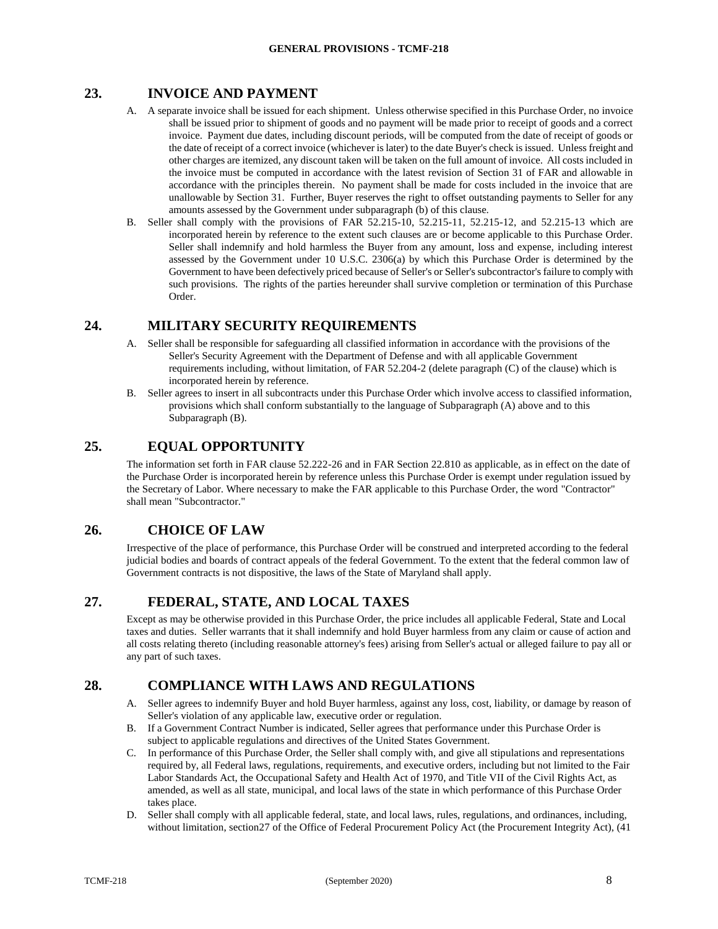## <span id="page-8-0"></span>**23. INVOICE AND PAYMENT**

- A. A separate invoice shall be issued for each shipment. Unless otherwise specified in this Purchase Order, no invoice shall be issued prior to shipment of goods and no payment will be made prior to receipt of goods and a correct invoice. Payment due dates, including discount periods, will be computed from the date of receipt of goods or the date of receipt of a correct invoice (whichever is later) to the date Buyer's check is issued. Unless freight and other charges are itemized, any discount taken will be taken on the full amount of invoice. All costs included in the invoice must be computed in accordance with the latest revision of Section 31 of FAR and allowable in accordance with the principles therein. No payment shall be made for costs included in the invoice that are unallowable by Section 31. Further, Buyer reserves the right to offset outstanding payments to Seller for any amounts assessed by the Government under subparagraph (b) of this clause.
- B. Seller shall comply with the provisions of FAR 52.215-10, 52.215-11, 52.215-12, and 52.215-13 which are incorporated herein by reference to the extent such clauses are or become applicable to this Purchase Order. Seller shall indemnify and hold harmless the Buyer from any amount, loss and expense, including interest assessed by the Government under 10 U.S.C. 2306(a) by which this Purchase Order is determined by the Government to have been defectively priced because of Seller's or Seller's subcontractor's failure to comply with such provisions. The rights of the parties hereunder shall survive completion or termination of this Purchase Order.

## <span id="page-8-1"></span>**24. MILITARY SECURITY REQUIREMENTS**

- A. Seller shall be responsible for safeguarding all classified information in accordance with the provisions of the Seller's Security Agreement with the Department of Defense and with all applicable Government requirements including, without limitation, of FAR 52.204-2 (delete paragraph (C) of the clause) which is incorporated herein by reference.
- B. Seller agrees to insert in all subcontracts under this Purchase Order which involve access to classified information, provisions which shall conform substantially to the language of Subparagraph (A) above and to this Subparagraph (B).

## <span id="page-8-2"></span>**25. EQUAL OPPORTUNITY**

The information set forth in FAR clause 52.222-26 and in FAR Section 22.810 as applicable, as in effect on the date of the Purchase Order is incorporated herein by reference unless this Purchase Order is exempt under regulation issued by the Secretary of Labor. Where necessary to make the FAR applicable to this Purchase Order, the word "Contractor" shall mean "Subcontractor."

## <span id="page-8-3"></span>**26. CHOICE OF LAW**

Irrespective of the place of performance, this Purchase Order will be construed and interpreted according to the federal judicial bodies and boards of contract appeals of the federal Government. To the extent that the federal common law of Government contracts is not dispositive, the laws of the State of Maryland shall apply.

## <span id="page-8-4"></span>**27. FEDERAL, STATE, AND LOCAL TAXES**

Except as may be otherwise provided in this Purchase Order, the price includes all applicable Federal, State and Local taxes and duties. Seller warrants that it shall indemnify and hold Buyer harmless from any claim or cause of action and all costs relating thereto (including reasonable attorney's fees) arising from Seller's actual or alleged failure to pay all or any part of such taxes.

## <span id="page-8-5"></span>**28. COMPLIANCE WITH LAWS AND REGULATIONS**

- A. Seller agrees to indemnify Buyer and hold Buyer harmless, against any loss, cost, liability, or damage by reason of Seller's violation of any applicable law, executive order or regulation.
- B. If a Government Contract Number is indicated, Seller agrees that performance under this Purchase Order is subject to applicable regulations and directives of the United States Government.
- C. In performance of this Purchase Order, the Seller shall comply with, and give all stipulations and representations required by, all Federal laws, regulations, requirements, and executive orders, including but not limited to the Fair Labor Standards Act, the Occupational Safety and Health Act of 1970, and Title VII of the Civil Rights Act, as amended, as well as all state, municipal, and local laws of the state in which performance of this Purchase Order takes place.
- D. Seller shall comply with all applicable federal, state, and local laws, rules, regulations, and ordinances, including, without limitation, section27 of the Office of Federal Procurement Policy Act (the Procurement Integrity Act), (41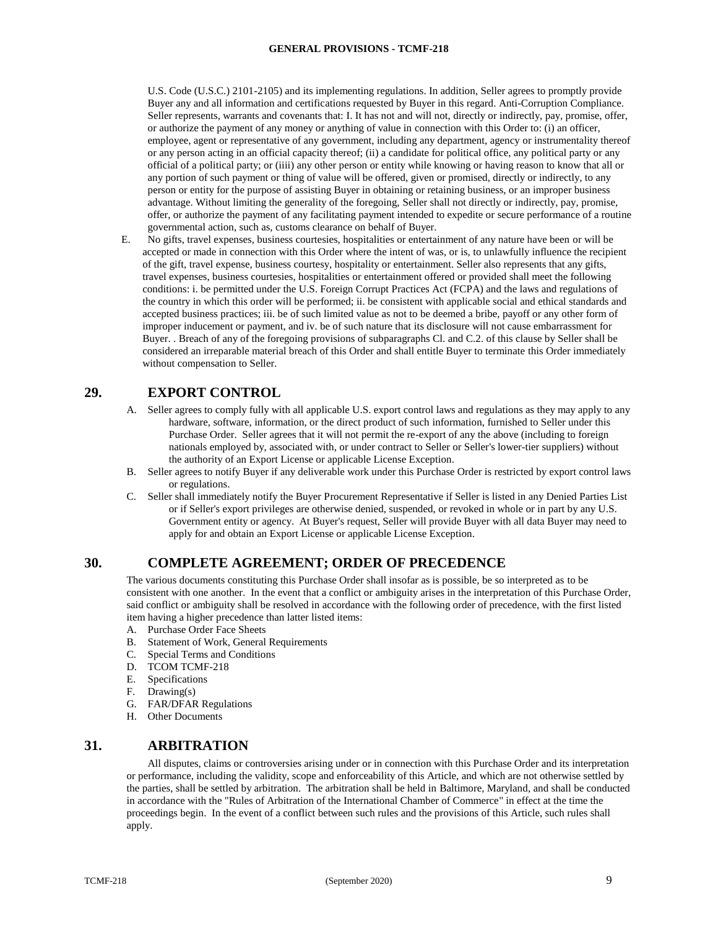U.S. Code (U.S.C.) 2101-2105) and its implementing regulations. In addition, Seller agrees to promptly provide Buyer any and all information and certifications requested by Buyer in this regard. Anti-Corruption Compliance. Seller represents, warrants and covenants that: I. It has not and will not, directly or indirectly, pay, promise, offer, or authorize the payment of any money or anything of value in connection with this Order to: (i) an officer, employee, agent or representative of any government, including any department, agency or instrumentality thereof or any person acting in an official capacity thereof; (ii) a candidate for political office, any political party or any official of a political party; or (iiii) any other person or entity while knowing or having reason to know that all or any portion of such payment or thing of value will be offered, given or promised, directly or indirectly, to any person or entity for the purpose of assisting Buyer in obtaining or retaining business, or an improper business advantage. Without limiting the generality of the foregoing, Seller shall not directly or indirectly, pay, promise, offer, or authorize the payment of any facilitating payment intended to expedite or secure performance of a routine governmental action, such as, customs clearance on behalf of Buyer.

E. No gifts, travel expenses, business courtesies, hospitalities or entertainment of any nature have been or will be accepted or made in connection with this Order where the intent of was, or is, to unlawfully influence the recipient of the gift, travel expense, business courtesy, hospitality or entertainment. Seller also represents that any gifts, travel expenses, business courtesies, hospitalities or entertainment offered or provided shall meet the following conditions: i. be permitted under the U.S. Foreign Corrupt Practices Act (FCPA) and the laws and regulations of the country in which this order will be performed; ii. be consistent with applicable social and ethical standards and accepted business practices; iii. be of such limited value as not to be deemed a bribe, payoff or any other form of improper inducement or payment, and iv. be of such nature that its disclosure will not cause embarrassment for Buyer. . Breach of any of the foregoing provisions of subparagraphs Cl. and C.2. of this clause by Seller shall be considered an irreparable material breach of this Order and shall entitle Buyer to terminate this Order immediately without compensation to Seller.

### <span id="page-9-0"></span>**29. EXPORT CONTROL**

- A. Seller agrees to comply fully with all applicable U.S. export control laws and regulations as they may apply to any hardware, software, information, or the direct product of such information, furnished to Seller under this Purchase Order. Seller agrees that it will not permit the re-export of any the above (including to foreign nationals employed by, associated with, or under contract to Seller or Seller's lower-tier suppliers) without the authority of an Export License or applicable License Exception.
- B. Seller agrees to notify Buyer if any deliverable work under this Purchase Order is restricted by export control laws or regulations.
- C. Seller shall immediately notify the Buyer Procurement Representative if Seller is listed in any Denied Parties List or if Seller's export privileges are otherwise denied, suspended, or revoked in whole or in part by any U.S. Government entity or agency. At Buyer's request, Seller will provide Buyer with all data Buyer may need to apply for and obtain an Export License or applicable License Exception.

### <span id="page-9-1"></span>**30. COMPLETE AGREEMENT; ORDER OF PRECEDENCE**

The various documents constituting this Purchase Order shall insofar as is possible, be so interpreted as to be consistent with one another. In the event that a conflict or ambiguity arises in the interpretation of this Purchase Order, said conflict or ambiguity shall be resolved in accordance with the following order of precedence, with the first listed item having a higher precedence than latter listed items:

- A. Purchase Order Face Sheets
- B. Statement of Work, General Requirements
- C. Special Terms and Conditions
- D. TCOM TCMF-218
- E. Specifications
- F. Drawing(s)
- G. FAR/DFAR Regulations
- H. Other Documents

#### <span id="page-9-2"></span>**31. ARBITRATION**

All disputes, claims or controversies arising under or in connection with this Purchase Order and its interpretation or performance, including the validity, scope and enforceability of this Article, and which are not otherwise settled by the parties, shall be settled by arbitration. The arbitration shall be held in Baltimore, Maryland, and shall be conducted in accordance with the "Rules of Arbitration of the International Chamber of Commerce" in effect at the time the proceedings begin. In the event of a conflict between such rules and the provisions of this Article, such rules shall apply.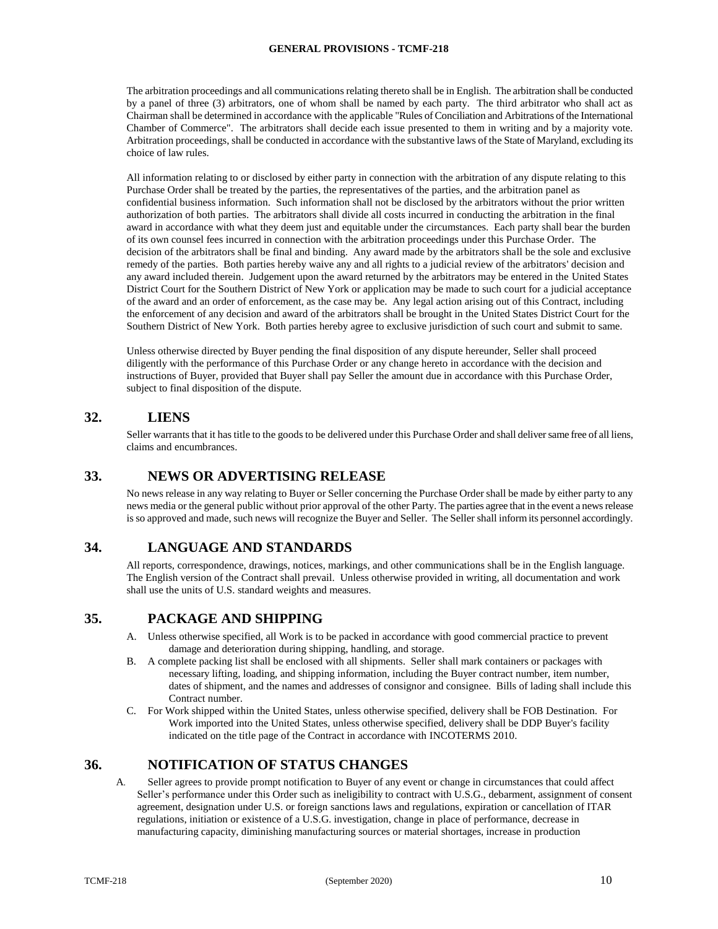The arbitration proceedings and all communications relating thereto shall be in English. The arbitration shall be conducted by a panel of three (3) arbitrators, one of whom shall be named by each party. The third arbitrator who shall act as Chairman shall be determined in accordance with the applicable "Rules of Conciliation and Arbitrations of the International Chamber of Commerce". The arbitrators shall decide each issue presented to them in writing and by a majority vote. Arbitration proceedings, shall be conducted in accordance with the substantive laws of the State of Maryland, excluding its choice of law rules.

All information relating to or disclosed by either party in connection with the arbitration of any dispute relating to this Purchase Order shall be treated by the parties, the representatives of the parties, and the arbitration panel as confidential business information. Such information shall not be disclosed by the arbitrators without the prior written authorization of both parties. The arbitrators shall divide all costs incurred in conducting the arbitration in the final award in accordance with what they deem just and equitable under the circumstances. Each party shall bear the burden of its own counsel fees incurred in connection with the arbitration proceedings under this Purchase Order. The decision of the arbitrators shall be final and binding. Any award made by the arbitrators shall be the sole and exclusive remedy of the parties. Both parties hereby waive any and all rights to a judicial review of the arbitrators' decision and any award included therein. Judgement upon the award returned by the arbitrators may be entered in the United States District Court for the Southern District of New York or application may be made to such court for a judicial acceptance of the award and an order of enforcement, as the case may be. Any legal action arising out of this Contract, including the enforcement of any decision and award of the arbitrators shall be brought in the United States District Court for the Southern District of New York. Both parties hereby agree to exclusive jurisdiction of such court and submit to same.

Unless otherwise directed by Buyer pending the final disposition of any dispute hereunder, Seller shall proceed diligently with the performance of this Purchase Order or any change hereto in accordance with the decision and instructions of Buyer, provided that Buyer shall pay Seller the amount due in accordance with this Purchase Order, subject to final disposition of the dispute.

## <span id="page-10-0"></span>**32. LIENS**

Seller warrants that it has title to the goods to be delivered under this Purchase Order and shall deliver same free of all liens, claims and encumbrances.

### <span id="page-10-1"></span>**33. NEWS OR ADVERTISING RELEASE**

No news release in any way relating to Buyer or Seller concerning the Purchase Order shall be made by either party to any news media or the general public without prior approval of the other Party. The parties agree that in the event a news release is so approved and made, such news will recognize the Buyer and Seller. The Seller shall inform its personnel accordingly.

### <span id="page-10-2"></span>**34. LANGUAGE AND STANDARDS**

All reports, correspondence, drawings, notices, markings, and other communications shall be in the English language. The English version of the Contract shall prevail. Unless otherwise provided in writing, all documentation and work shall use the units of U.S. standard weights and measures.

### <span id="page-10-3"></span>**35. PACKAGE AND SHIPPING**

- A. Unless otherwise specified, all Work is to be packed in accordance with good commercial practice to prevent damage and deterioration during shipping, handling, and storage.
- B. A complete packing list shall be enclosed with all shipments. Seller shall mark containers or packages with necessary lifting, loading, and shipping information, including the Buyer contract number, item number, dates of shipment, and the names and addresses of consignor and consignee. Bills of lading shall include this Contract number.
- C. For Work shipped within the United States, unless otherwise specified, delivery shall be FOB Destination. For Work imported into the United States, unless otherwise specified, delivery shall be DDP Buyer's facility indicated on the title page of the Contract in accordance with INCOTERMS 2010.

## <span id="page-10-4"></span>**36. NOTIFICATION OF STATUS CHANGES**

A. Seller agrees to provide prompt notification to Buyer of any event or change in circumstances that could affect Seller's performance under this Order such as ineligibility to contract with U.S.G., debarment, assignment of consent agreement, designation under U.S. or foreign sanctions laws and regulations, expiration or cancellation of ITAR regulations, initiation or existence of a U.S.G. investigation, change in place of performance, decrease in manufacturing capacity, diminishing manufacturing sources or material shortages, increase in production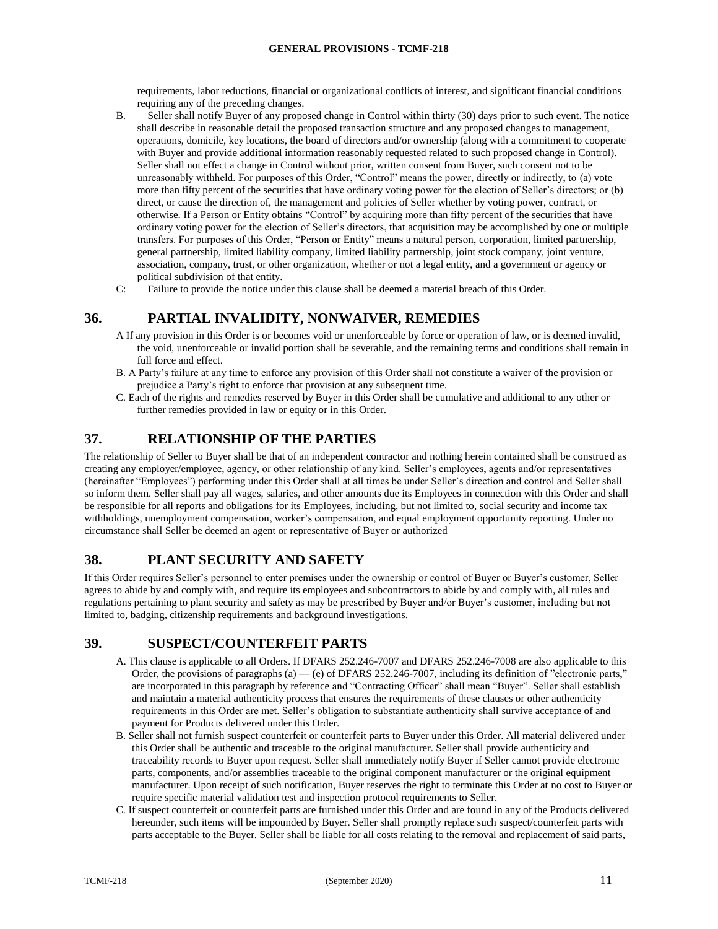requirements, labor reductions, financial or organizational conflicts of interest, and significant financial conditions requiring any of the preceding changes.

- B. Seller shall notify Buyer of any proposed change in Control within thirty (30) days prior to such event. The notice shall describe in reasonable detail the proposed transaction structure and any proposed changes to management, operations, domicile, key locations, the board of directors and/or ownership (along with a commitment to cooperate with Buyer and provide additional information reasonably requested related to such proposed change in Control). Seller shall not effect a change in Control without prior, written consent from Buyer, such consent not to be unreasonably withheld. For purposes of this Order, "Control" means the power, directly or indirectly, to (a) vote more than fifty percent of the securities that have ordinary voting power for the election of Seller's directors; or (b) direct, or cause the direction of, the management and policies of Seller whether by voting power, contract, or otherwise. If a Person or Entity obtains "Control" by acquiring more than fifty percent of the securities that have ordinary voting power for the election of Seller's directors, that acquisition may be accomplished by one or multiple transfers. For purposes of this Order, "Person or Entity" means a natural person, corporation, limited partnership, general partnership, limited liability company, limited liability partnership, joint stock company, joint venture, association, company, trust, or other organization, whether or not a legal entity, and a government or agency or political subdivision of that entity.
- C: Failure to provide the notice under this clause shall be deemed a material breach of this Order.

## <span id="page-11-0"></span>**36. PARTIAL INVALIDITY, NONWAIVER, REMEDIES**

- A If any provision in this Order is or becomes void or unenforceable by force or operation of law, or is deemed invalid, the void, unenforceable or invalid portion shall be severable, and the remaining terms and conditions shall remain in full force and effect.
- B. A Party's failure at any time to enforce any provision of this Order shall not constitute a waiver of the provision or prejudice a Party's right to enforce that provision at any subsequent time.
- C. Each of the rights and remedies reserved by Buyer in this Order shall be cumulative and additional to any other or further remedies provided in law or equity or in this Order.

## <span id="page-11-1"></span>**37. RELATIONSHIP OF THE PARTIES**

The relationship of Seller to Buyer shall be that of an independent contractor and nothing herein contained shall be construed as creating any employer/employee, agency, or other relationship of any kind. Seller's employees, agents and/or representatives (hereinafter "Employees") performing under this Order shall at all times be under Seller's direction and control and Seller shall so inform them. Seller shall pay all wages, salaries, and other amounts due its Employees in connection with this Order and shall be responsible for all reports and obligations for its Employees, including, but not limited to, social security and income tax withholdings, unemployment compensation, worker's compensation, and equal employment opportunity reporting. Under no circumstance shall Seller be deemed an agent or representative of Buyer or authorized

## <span id="page-11-2"></span>**38. PLANT SECURITY AND SAFETY**

If this Order requires Seller's personnel to enter premises under the ownership or control of Buyer or Buyer's customer, Seller agrees to abide by and comply with, and require its employees and subcontractors to abide by and comply with, all rules and regulations pertaining to plant security and safety as may be prescribed by Buyer and/or Buyer's customer, including but not limited to, badging, citizenship requirements and background investigations.

### <span id="page-11-3"></span>**39. SUSPECT/COUNTERFEIT PARTS**

- A. This clause is applicable to all Orders. If DFARS 252.246-7007 and DFARS 252.246-7008 are also applicable to this Order, the provisions of paragraphs (a) — (e) of DFARS 252.246-7007, including its definition of "electronic parts," are incorporated in this paragraph by reference and "Contracting Officer" shall mean "Buyer". Seller shall establish and maintain a material authenticity process that ensures the requirements of these clauses or other authenticity requirements in this Order are met. Seller's obligation to substantiate authenticity shall survive acceptance of and payment for Products delivered under this Order.
- B. Seller shall not furnish suspect counterfeit or counterfeit parts to Buyer under this Order. All material delivered under this Order shall be authentic and traceable to the original manufacturer. Seller shall provide authenticity and traceability records to Buyer upon request. Seller shall immediately notify Buyer if Seller cannot provide electronic parts, components, and/or assemblies traceable to the original component manufacturer or the original equipment manufacturer. Upon receipt of such notification, Buyer reserves the right to terminate this Order at no cost to Buyer or require specific material validation test and inspection protocol requirements to Seller.
- C. If suspect counterfeit or counterfeit parts are furnished under this Order and are found in any of the Products delivered hereunder, such items will be impounded by Buyer. Seller shall promptly replace such suspect/counterfeit parts with parts acceptable to the Buyer. Seller shall be liable for all costs relating to the removal and replacement of said parts,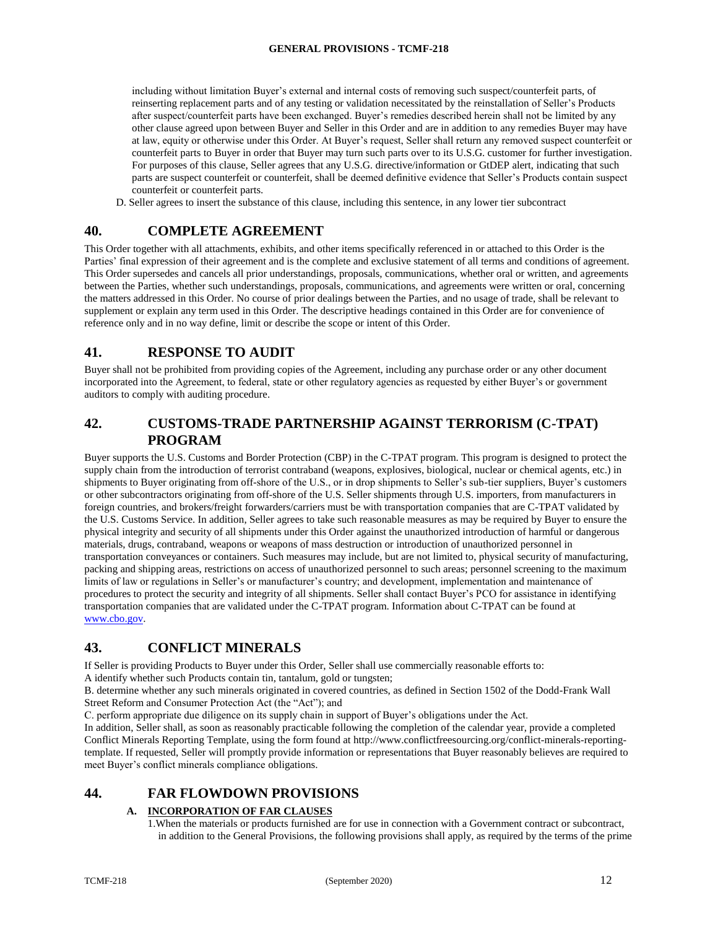including without limitation Buyer's external and internal costs of removing such suspect/counterfeit parts, of reinserting replacement parts and of any testing or validation necessitated by the reinstallation of Seller's Products after suspect/counterfeit parts have been exchanged. Buyer's remedies described herein shall not be limited by any other clause agreed upon between Buyer and Seller in this Order and are in addition to any remedies Buyer may have at law, equity or otherwise under this Order. At Buyer's request, Seller shall return any removed suspect counterfeit or counterfeit parts to Buyer in order that Buyer may turn such parts over to its U.S.G. customer for further investigation. For purposes of this clause, Seller agrees that any U.S.G. directive/information or GtDEP alert, indicating that such parts are suspect counterfeit or counterfeit, shall be deemed definitive evidence that Seller's Products contain suspect counterfeit or counterfeit parts.

D. Seller agrees to insert the substance of this clause, including this sentence, in any lower tier subcontract

### <span id="page-12-0"></span>**40. COMPLETE AGREEMENT**

This Order together with all attachments, exhibits, and other items specifically referenced in or attached to this Order is the Parties' final expression of their agreement and is the complete and exclusive statement of all terms and conditions of agreement. This Order supersedes and cancels all prior understandings, proposals, communications, whether oral or written, and agreements between the Parties, whether such understandings, proposals, communications, and agreements were written or oral, concerning the matters addressed in this Order. No course of prior dealings between the Parties, and no usage of trade, shall be relevant to supplement or explain any term used in this Order. The descriptive headings contained in this Order are for convenience of reference only and in no way define, limit or describe the scope or intent of this Order.

### <span id="page-12-1"></span>**41. RESPONSE TO AUDIT**

Buyer shall not be prohibited from providing copies of the Agreement, including any purchase order or any other document incorporated into the Agreement, to federal, state or other regulatory agencies as requested by either Buyer's or government auditors to comply with auditing procedure.

## <span id="page-12-2"></span>**42. CUSTOMS-TRADE PARTNERSHIP AGAINST TERRORISM (C-TPAT) PROGRAM**

Buyer supports the U.S. Customs and Border Protection (CBP) in the C-TPAT program. This program is designed to protect the supply chain from the introduction of terrorist contraband (weapons, explosives, biological, nuclear or chemical agents, etc.) in shipments to Buyer originating from off-shore of the U.S., or in drop shipments to Seller's sub-tier suppliers, Buyer's customers or other subcontractors originating from off-shore of the U.S. Seller shipments through U.S. importers, from manufacturers in foreign countries, and brokers/freight forwarders/carriers must be with transportation companies that are C-TPAT validated by the U.S. Customs Service. In addition, Seller agrees to take such reasonable measures as may be required by Buyer to ensure the physical integrity and security of all shipments under this Order against the unauthorized introduction of harmful or dangerous materials, drugs, contraband, weapons or weapons of mass destruction or introduction of unauthorized personnel in transportation conveyances or containers. Such measures may include, but are not limited to, physical security of manufacturing, packing and shipping areas, restrictions on access of unauthorized personnel to such areas; personnel screening to the maximum limits of law or regulations in Seller's or manufacturer's country; and development, implementation and maintenance of procedures to protect the security and integrity of all shipments. Seller shall contact Buyer's PCO for assistance in identifying transportation companies that are validated under the C-TPAT program. Information about C-TPAT can be found at [www.cbo.gov.](http://www.cbo.gov/)

### <span id="page-12-3"></span>**43. CONFLICT MINERALS**

If Seller is providing Products to Buyer under this Order, Seller shall use commercially reasonable efforts to:

A identify whether such Products contain tin, tantalum, gold or tungsten;

B. determine whether any such minerals originated in covered countries, as defined in Section 1502 of the Dodd-Frank Wall Street Reform and Consumer Protection Act (the "Act"); and

C. perform appropriate due diligence on its supply chain in support of Buyer's obligations under the Act.

In addition, Seller shall, as soon as reasonably practicable following the completion of the calendar year, provide a completed Conflict Minerals Reporting Template, using the form found at http://www.conflictfreesourcing.org/conflict-minerals-reportingtemplate. If requested, Seller will promptly provide information or representations that Buyer reasonably believes are required to meet Buyer's conflict minerals compliance obligations.

## <span id="page-12-4"></span>**44. FAR FLOWDOWN PROVISIONS**

#### **A. INCORPORATION OF FAR CLAUSES**

1.When the materials or products furnished are for use in connection with a Government contract or subcontract, in addition to the General Provisions, the following provisions shall apply, as required by the terms of the prime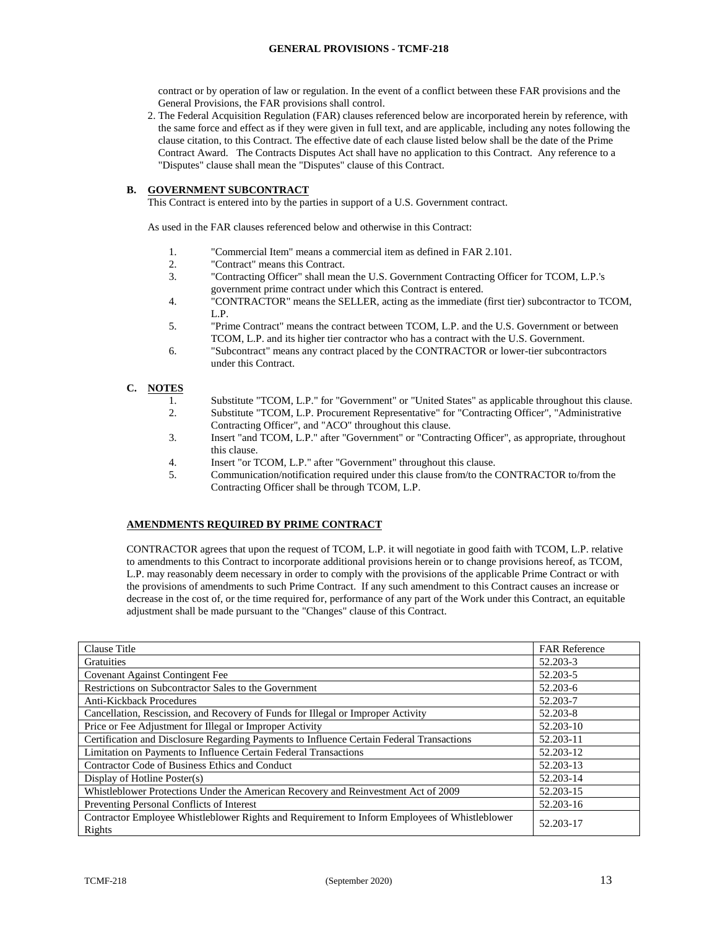contract or by operation of law or regulation. In the event of a conflict between these FAR provisions and the General Provisions, the FAR provisions shall control.

2. The Federal Acquisition Regulation (FAR) clauses referenced below are incorporated herein by reference, with the same force and effect as if they were given in full text, and are applicable, including any notes following the clause citation, to this Contract. The effective date of each clause listed below shall be the date of the Prime Contract Award. The Contracts Disputes Act shall have no application to this Contract. Any reference to a "Disputes" clause shall mean the "Disputes" clause of this Contract.

#### **B. GOVERNMENT SUBCONTRACT**

This Contract is entered into by the parties in support of a U.S. Government contract.

As used in the FAR clauses referenced below and otherwise in this Contract:

- 1. "Commercial Item" means a commercial item as defined in FAR 2.101.
- 2. "Contract" means this Contract.
- 3. "Contracting Officer" shall mean the U.S. Government Contracting Officer for TCOM, L.P.'s government prime contract under which this Contract is entered.
- 4. "CONTRACTOR" means the SELLER, acting as the immediate (first tier) subcontractor to TCOM, L.P.
- 5. "Prime Contract" means the contract between TCOM, L.P. and the U.S. Government or between TCOM, L.P. and its higher tier contractor who has a contract with the U.S. Government.
- 6. "Subcontract" means any contract placed by the CONTRACTOR or lower-tier subcontractors under this Contract.

#### **C. NOTES**

- 1. Substitute "TCOM, L.P." for "Government" or "United States" as applicable throughout this clause. 2. Substitute "TCOM, L.P. Procurement Representative" for "Contracting Officer", "Administrative
- Contracting Officer", and "ACO" throughout this clause. 3. Insert "and TCOM, L.P." after "Government" or "Contracting Officer", as appropriate, throughout
- this clause.
- 4. Insert "or TCOM, L.P." after "Government" throughout this clause.
- 5. Communication/notification required under this clause from/to the CONTRACTOR to/from the Contracting Officer shall be through TCOM, L.P.

#### **AMENDMENTS REQUIRED BY PRIME CONTRACT**

CONTRACTOR agrees that upon the request of TCOM, L.P. it will negotiate in good faith with TCOM, L.P. relative to amendments to this Contract to incorporate additional provisions herein or to change provisions hereof, as TCOM, L.P. may reasonably deem necessary in order to comply with the provisions of the applicable Prime Contract or with the provisions of amendments to such Prime Contract. If any such amendment to this Contract causes an increase or decrease in the cost of, or the time required for, performance of any part of the Work under this Contract, an equitable adjustment shall be made pursuant to the "Changes" clause of this Contract.

| Clause Title                                                                                            | <b>FAR Reference</b> |
|---------------------------------------------------------------------------------------------------------|----------------------|
| Gratuities                                                                                              | 52.203-3             |
| <b>Covenant Against Contingent Fee</b>                                                                  | 52.203-5             |
| Restrictions on Subcontractor Sales to the Government                                                   | 52.203-6             |
| <b>Anti-Kickback Procedures</b>                                                                         | 52.203-7             |
| Cancellation, Rescission, and Recovery of Funds for Illegal or Improper Activity                        | 52.203-8             |
| Price or Fee Adjustment for Illegal or Improper Activity                                                | 52.203-10            |
| Certification and Disclosure Regarding Payments to Influence Certain Federal Transactions               | 52.203-11            |
| Limitation on Payments to Influence Certain Federal Transactions                                        | 52.203-12            |
| Contractor Code of Business Ethics and Conduct                                                          | 52.203-13            |
| Display of Hotline Poster(s)                                                                            | 52.203-14            |
| Whistleblower Protections Under the American Recovery and Reinvestment Act of 2009                      | 52.203-15            |
| Preventing Personal Conflicts of Interest                                                               | 52.203-16            |
| Contractor Employee Whistleblower Rights and Requirement to Inform Employees of Whistleblower<br>Rights | 52.203-17            |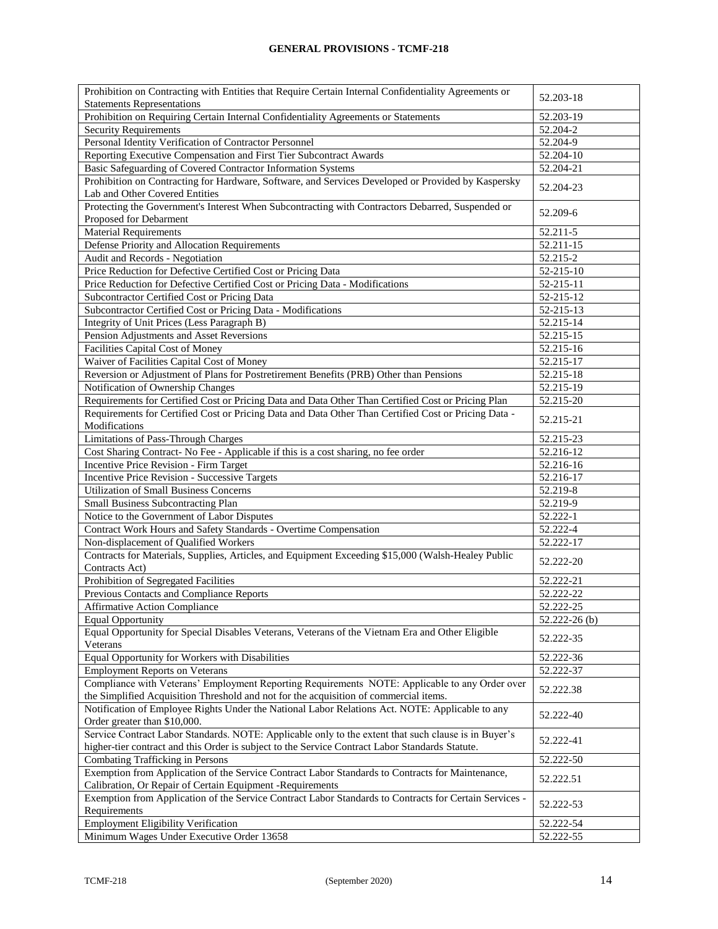| Prohibition on Contracting with Entities that Require Certain Internal Confidentiality Agreements or                                                                                                    | 52.203-18     |
|---------------------------------------------------------------------------------------------------------------------------------------------------------------------------------------------------------|---------------|
| <b>Statements Representations</b>                                                                                                                                                                       |               |
| Prohibition on Requiring Certain Internal Confidentiality Agreements or Statements                                                                                                                      | 52.203-19     |
| <b>Security Requirements</b>                                                                                                                                                                            | 52.204-2      |
| Personal Identity Verification of Contractor Personnel                                                                                                                                                  | 52.204-9      |
| Reporting Executive Compensation and First Tier Subcontract Awards                                                                                                                                      | 52.204-10     |
| Basic Safeguarding of Covered Contractor Information Systems                                                                                                                                            | 52.204-21     |
| Prohibition on Contracting for Hardware, Software, and Services Developed or Provided by Kaspersky<br>Lab and Other Covered Entities                                                                    | 52.204-23     |
| Protecting the Government's Interest When Subcontracting with Contractors Debarred, Suspended or                                                                                                        | 52.209-6      |
| Proposed for Debarment                                                                                                                                                                                  |               |
| <b>Material Requirements</b>                                                                                                                                                                            | 52.211-5      |
| Defense Priority and Allocation Requirements                                                                                                                                                            | 52.211-15     |
| Audit and Records - Negotiation                                                                                                                                                                         | 52.215-2      |
| Price Reduction for Defective Certified Cost or Pricing Data                                                                                                                                            | 52-215-10     |
| Price Reduction for Defective Certified Cost or Pricing Data - Modifications                                                                                                                            | 52-215-11     |
| Subcontractor Certified Cost or Pricing Data                                                                                                                                                            | 52-215-12     |
| Subcontractor Certified Cost or Pricing Data - Modifications                                                                                                                                            | 52-215-13     |
| Integrity of Unit Prices (Less Paragraph B)                                                                                                                                                             | 52.215-14     |
| Pension Adjustments and Asset Reversions                                                                                                                                                                | 52.215-15     |
| Facilities Capital Cost of Money                                                                                                                                                                        | 52.215-16     |
| Waiver of Facilities Capital Cost of Money                                                                                                                                                              | 52.215-17     |
| Reversion or Adjustment of Plans for Postretirement Benefits (PRB) Other than Pensions                                                                                                                  | 52.215-18     |
| Notification of Ownership Changes                                                                                                                                                                       | 52.215-19     |
| Requirements for Certified Cost or Pricing Data and Data Other Than Certified Cost or Pricing Plan                                                                                                      | 52.215-20     |
| Requirements for Certified Cost or Pricing Data and Data Other Than Certified Cost or Pricing Data -<br>Modifications                                                                                   | 52.215-21     |
| Limitations of Pass-Through Charges                                                                                                                                                                     | 52.215-23     |
| Cost Sharing Contract- No Fee - Applicable if this is a cost sharing, no fee order                                                                                                                      | 52.216-12     |
| Incentive Price Revision - Firm Target                                                                                                                                                                  | 52.216-16     |
| Incentive Price Revision - Successive Targets                                                                                                                                                           | 52.216-17     |
| <b>Utilization of Small Business Concerns</b>                                                                                                                                                           | 52.219-8      |
| Small Business Subcontracting Plan                                                                                                                                                                      | 52.219-9      |
| Notice to the Government of Labor Disputes                                                                                                                                                              | 52.222-1      |
| Contract Work Hours and Safety Standards - Overtime Compensation                                                                                                                                        | 52.222-4      |
| Non-displacement of Qualified Workers                                                                                                                                                                   | 52.222-17     |
| Contracts for Materials, Supplies, Articles, and Equipment Exceeding \$15,000 (Walsh-Healey Public                                                                                                      |               |
| Contracts Act)                                                                                                                                                                                          | 52.222-20     |
| Prohibition of Segregated Facilities                                                                                                                                                                    | 52.222-21     |
| Previous Contacts and Compliance Reports                                                                                                                                                                | 52.222-22     |
| <b>Affirmative Action Compliance</b>                                                                                                                                                                    | 52.222-25     |
| <b>Equal Opportunity</b>                                                                                                                                                                                | 52.222-26 (b) |
| Equal Opportunity for Special Disables Veterans, Veterans of the Vietnam Era and Other Eligible<br>Veterans                                                                                             | 52.222-35     |
| Equal Opportunity for Workers with Disabilities                                                                                                                                                         | 52.222-36     |
| <b>Employment Reports on Veterans</b>                                                                                                                                                                   | 52.222-37     |
| Compliance with Veterans' Employment Reporting Requirements NOTE: Applicable to any Order over                                                                                                          |               |
| the Simplified Acquisition Threshold and not for the acquisition of commercial items.                                                                                                                   | 52.222.38     |
| Notification of Employee Rights Under the National Labor Relations Act. NOTE: Applicable to any                                                                                                         |               |
| Order greater than \$10,000.                                                                                                                                                                            | 52.222-40     |
| Service Contract Labor Standards. NOTE: Applicable only to the extent that such clause is in Buyer's<br>higher-tier contract and this Order is subject to the Service Contract Labor Standards Statute. | 52.222-41     |
| Combating Trafficking in Persons                                                                                                                                                                        | 52.222-50     |
| Exemption from Application of the Service Contract Labor Standards to Contracts for Maintenance,                                                                                                        |               |
| Calibration, Or Repair of Certain Equipment -Requirements                                                                                                                                               | 52.222.51     |
| Exemption from Application of the Service Contract Labor Standards to Contracts for Certain Services -<br>Requirements                                                                                  | 52.222-53     |
| <b>Employment Eligibility Verification</b>                                                                                                                                                              | 52.222-54     |
| Minimum Wages Under Executive Order 13658                                                                                                                                                               | 52.222-55     |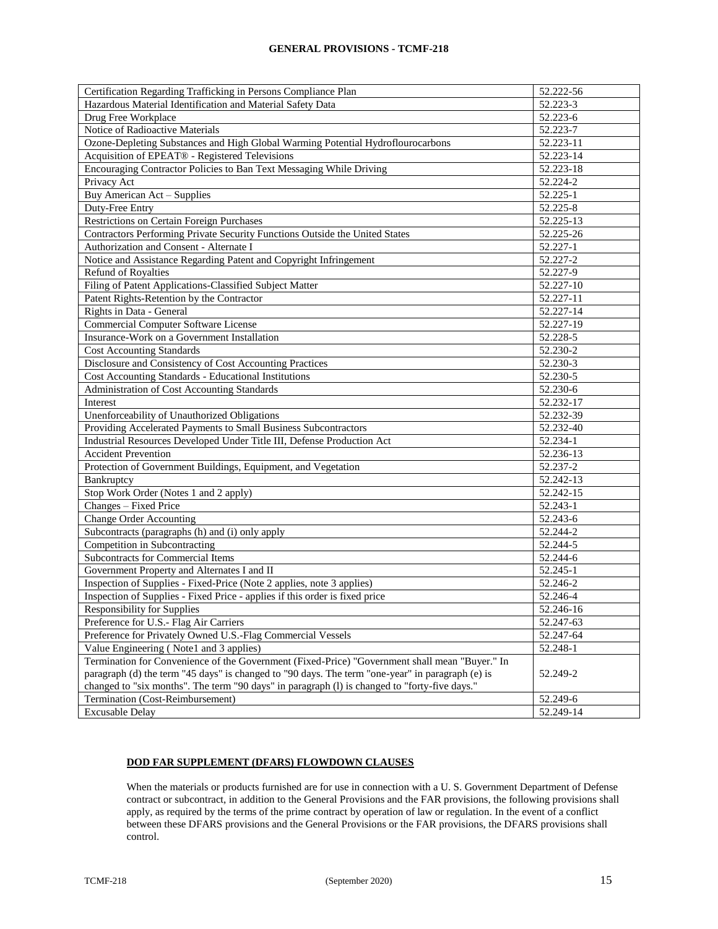| 52.223-3<br>Hazardous Material Identification and Material Safety Data<br>Drug Free Workplace<br>52.223-6<br>Notice of Radioactive Materials<br>52.223-7<br>Ozone-Depleting Substances and High Global Warming Potential Hydroflourocarbons<br>52.223-11<br>Acquisition of EPEAT® - Registered Televisions<br>52.223-14<br>Encouraging Contractor Policies to Ban Text Messaging While Driving<br>52.223-18<br>Privacy Act<br>52.224-2<br>Buy American Act - Supplies<br>52.225-1<br>Duty-Free Entry<br>52.225-8<br>Restrictions on Certain Foreign Purchases<br>52.225-13<br>Contractors Performing Private Security Functions Outside the United States<br>52.225-26<br>Authorization and Consent - Alternate I<br>52.227-1<br>Notice and Assistance Regarding Patent and Copyright Infringement<br>52.227-2<br>Refund of Royalties<br>52.227-9<br>Filing of Patent Applications-Classified Subject Matter<br>52.227-10<br>Patent Rights-Retention by the Contractor<br>52.227-11<br>52.227-14<br>Rights in Data - General<br>Commercial Computer Software License<br>52.227-19<br>Insurance-Work on a Government Installation<br>52.228-5<br>52.230-2<br><b>Cost Accounting Standards</b><br>Disclosure and Consistency of Cost Accounting Practices<br>52.230-3<br>Cost Accounting Standards - Educational Institutions<br>52.230-5<br>Administration of Cost Accounting Standards<br>52.230-6<br>Interest<br>52.232-17<br>Unenforceability of Unauthorized Obligations<br>52.232-39<br>Providing Accelerated Payments to Small Business Subcontractors<br>52.232-40<br>Industrial Resources Developed Under Title III, Defense Production Act<br>52.234-1<br><b>Accident Prevention</b><br>52.236-13<br>Protection of Government Buildings, Equipment, and Vegetation<br>52.237-2<br>52.242-13<br>Bankruptcy<br>Stop Work Order (Notes 1 and 2 apply)<br>52.242-15<br>Changes - Fixed Price<br>52.243-1<br><b>Change Order Accounting</b><br>52.243-6<br>Subcontracts (paragraphs (h) and (i) only apply<br>52.244-2<br>Competition in Subcontracting<br>52.244-5<br><b>Subcontracts for Commercial Items</b><br>52.244-6<br>Government Property and Alternates I and II<br>52.245-1<br>Inspection of Supplies - Fixed-Price (Note 2 applies, note 3 applies)<br>52.246-2<br>52.246-4<br>Inspection of Supplies - Fixed Price - applies if this order is fixed price<br>Responsibility for Supplies<br>52.246-16<br>Preference for U.S.- Flag Air Carriers<br>52.247-63<br>Preference for Privately Owned U.S.-Flag Commercial Vessels<br>52.247-64<br>Value Engineering (Note1 and 3 applies)<br>52.248-1<br>Termination for Convenience of the Government (Fixed-Price) "Government shall mean "Buyer." In<br>paragraph (d) the term "45 days" is changed to "90 days. The term "one-year" in paragraph (e) is<br>52.249-2<br>changed to "six months". The term "90 days" in paragraph (1) is changed to "forty-five days."<br>Termination (Cost-Reimbursement)<br>52.249-6<br>52.249-14<br><b>Excusable Delay</b> | Certification Regarding Trafficking in Persons Compliance Plan | 52.222-56 |
|---------------------------------------------------------------------------------------------------------------------------------------------------------------------------------------------------------------------------------------------------------------------------------------------------------------------------------------------------------------------------------------------------------------------------------------------------------------------------------------------------------------------------------------------------------------------------------------------------------------------------------------------------------------------------------------------------------------------------------------------------------------------------------------------------------------------------------------------------------------------------------------------------------------------------------------------------------------------------------------------------------------------------------------------------------------------------------------------------------------------------------------------------------------------------------------------------------------------------------------------------------------------------------------------------------------------------------------------------------------------------------------------------------------------------------------------------------------------------------------------------------------------------------------------------------------------------------------------------------------------------------------------------------------------------------------------------------------------------------------------------------------------------------------------------------------------------------------------------------------------------------------------------------------------------------------------------------------------------------------------------------------------------------------------------------------------------------------------------------------------------------------------------------------------------------------------------------------------------------------------------------------------------------------------------------------------------------------------------------------------------------------------------------------------------------------------------------------------------------------------------------------------------------------------------------------------------------------------------------------------------------------------------------------------------------------------------------------------------------------------------------------------------------------------------------------------------------------------------------------------------------------------------------------------------------------------------------------------------------------------------------------------------|----------------------------------------------------------------|-----------|
|                                                                                                                                                                                                                                                                                                                                                                                                                                                                                                                                                                                                                                                                                                                                                                                                                                                                                                                                                                                                                                                                                                                                                                                                                                                                                                                                                                                                                                                                                                                                                                                                                                                                                                                                                                                                                                                                                                                                                                                                                                                                                                                                                                                                                                                                                                                                                                                                                                                                                                                                                                                                                                                                                                                                                                                                                                                                                                                                                                                                                           |                                                                |           |
|                                                                                                                                                                                                                                                                                                                                                                                                                                                                                                                                                                                                                                                                                                                                                                                                                                                                                                                                                                                                                                                                                                                                                                                                                                                                                                                                                                                                                                                                                                                                                                                                                                                                                                                                                                                                                                                                                                                                                                                                                                                                                                                                                                                                                                                                                                                                                                                                                                                                                                                                                                                                                                                                                                                                                                                                                                                                                                                                                                                                                           |                                                                |           |
|                                                                                                                                                                                                                                                                                                                                                                                                                                                                                                                                                                                                                                                                                                                                                                                                                                                                                                                                                                                                                                                                                                                                                                                                                                                                                                                                                                                                                                                                                                                                                                                                                                                                                                                                                                                                                                                                                                                                                                                                                                                                                                                                                                                                                                                                                                                                                                                                                                                                                                                                                                                                                                                                                                                                                                                                                                                                                                                                                                                                                           |                                                                |           |
|                                                                                                                                                                                                                                                                                                                                                                                                                                                                                                                                                                                                                                                                                                                                                                                                                                                                                                                                                                                                                                                                                                                                                                                                                                                                                                                                                                                                                                                                                                                                                                                                                                                                                                                                                                                                                                                                                                                                                                                                                                                                                                                                                                                                                                                                                                                                                                                                                                                                                                                                                                                                                                                                                                                                                                                                                                                                                                                                                                                                                           |                                                                |           |
|                                                                                                                                                                                                                                                                                                                                                                                                                                                                                                                                                                                                                                                                                                                                                                                                                                                                                                                                                                                                                                                                                                                                                                                                                                                                                                                                                                                                                                                                                                                                                                                                                                                                                                                                                                                                                                                                                                                                                                                                                                                                                                                                                                                                                                                                                                                                                                                                                                                                                                                                                                                                                                                                                                                                                                                                                                                                                                                                                                                                                           |                                                                |           |
|                                                                                                                                                                                                                                                                                                                                                                                                                                                                                                                                                                                                                                                                                                                                                                                                                                                                                                                                                                                                                                                                                                                                                                                                                                                                                                                                                                                                                                                                                                                                                                                                                                                                                                                                                                                                                                                                                                                                                                                                                                                                                                                                                                                                                                                                                                                                                                                                                                                                                                                                                                                                                                                                                                                                                                                                                                                                                                                                                                                                                           |                                                                |           |
|                                                                                                                                                                                                                                                                                                                                                                                                                                                                                                                                                                                                                                                                                                                                                                                                                                                                                                                                                                                                                                                                                                                                                                                                                                                                                                                                                                                                                                                                                                                                                                                                                                                                                                                                                                                                                                                                                                                                                                                                                                                                                                                                                                                                                                                                                                                                                                                                                                                                                                                                                                                                                                                                                                                                                                                                                                                                                                                                                                                                                           |                                                                |           |
|                                                                                                                                                                                                                                                                                                                                                                                                                                                                                                                                                                                                                                                                                                                                                                                                                                                                                                                                                                                                                                                                                                                                                                                                                                                                                                                                                                                                                                                                                                                                                                                                                                                                                                                                                                                                                                                                                                                                                                                                                                                                                                                                                                                                                                                                                                                                                                                                                                                                                                                                                                                                                                                                                                                                                                                                                                                                                                                                                                                                                           |                                                                |           |
|                                                                                                                                                                                                                                                                                                                                                                                                                                                                                                                                                                                                                                                                                                                                                                                                                                                                                                                                                                                                                                                                                                                                                                                                                                                                                                                                                                                                                                                                                                                                                                                                                                                                                                                                                                                                                                                                                                                                                                                                                                                                                                                                                                                                                                                                                                                                                                                                                                                                                                                                                                                                                                                                                                                                                                                                                                                                                                                                                                                                                           |                                                                |           |
|                                                                                                                                                                                                                                                                                                                                                                                                                                                                                                                                                                                                                                                                                                                                                                                                                                                                                                                                                                                                                                                                                                                                                                                                                                                                                                                                                                                                                                                                                                                                                                                                                                                                                                                                                                                                                                                                                                                                                                                                                                                                                                                                                                                                                                                                                                                                                                                                                                                                                                                                                                                                                                                                                                                                                                                                                                                                                                                                                                                                                           |                                                                |           |
|                                                                                                                                                                                                                                                                                                                                                                                                                                                                                                                                                                                                                                                                                                                                                                                                                                                                                                                                                                                                                                                                                                                                                                                                                                                                                                                                                                                                                                                                                                                                                                                                                                                                                                                                                                                                                                                                                                                                                                                                                                                                                                                                                                                                                                                                                                                                                                                                                                                                                                                                                                                                                                                                                                                                                                                                                                                                                                                                                                                                                           |                                                                |           |
|                                                                                                                                                                                                                                                                                                                                                                                                                                                                                                                                                                                                                                                                                                                                                                                                                                                                                                                                                                                                                                                                                                                                                                                                                                                                                                                                                                                                                                                                                                                                                                                                                                                                                                                                                                                                                                                                                                                                                                                                                                                                                                                                                                                                                                                                                                                                                                                                                                                                                                                                                                                                                                                                                                                                                                                                                                                                                                                                                                                                                           |                                                                |           |
|                                                                                                                                                                                                                                                                                                                                                                                                                                                                                                                                                                                                                                                                                                                                                                                                                                                                                                                                                                                                                                                                                                                                                                                                                                                                                                                                                                                                                                                                                                                                                                                                                                                                                                                                                                                                                                                                                                                                                                                                                                                                                                                                                                                                                                                                                                                                                                                                                                                                                                                                                                                                                                                                                                                                                                                                                                                                                                                                                                                                                           |                                                                |           |
|                                                                                                                                                                                                                                                                                                                                                                                                                                                                                                                                                                                                                                                                                                                                                                                                                                                                                                                                                                                                                                                                                                                                                                                                                                                                                                                                                                                                                                                                                                                                                                                                                                                                                                                                                                                                                                                                                                                                                                                                                                                                                                                                                                                                                                                                                                                                                                                                                                                                                                                                                                                                                                                                                                                                                                                                                                                                                                                                                                                                                           |                                                                |           |
|                                                                                                                                                                                                                                                                                                                                                                                                                                                                                                                                                                                                                                                                                                                                                                                                                                                                                                                                                                                                                                                                                                                                                                                                                                                                                                                                                                                                                                                                                                                                                                                                                                                                                                                                                                                                                                                                                                                                                                                                                                                                                                                                                                                                                                                                                                                                                                                                                                                                                                                                                                                                                                                                                                                                                                                                                                                                                                                                                                                                                           |                                                                |           |
|                                                                                                                                                                                                                                                                                                                                                                                                                                                                                                                                                                                                                                                                                                                                                                                                                                                                                                                                                                                                                                                                                                                                                                                                                                                                                                                                                                                                                                                                                                                                                                                                                                                                                                                                                                                                                                                                                                                                                                                                                                                                                                                                                                                                                                                                                                                                                                                                                                                                                                                                                                                                                                                                                                                                                                                                                                                                                                                                                                                                                           |                                                                |           |
|                                                                                                                                                                                                                                                                                                                                                                                                                                                                                                                                                                                                                                                                                                                                                                                                                                                                                                                                                                                                                                                                                                                                                                                                                                                                                                                                                                                                                                                                                                                                                                                                                                                                                                                                                                                                                                                                                                                                                                                                                                                                                                                                                                                                                                                                                                                                                                                                                                                                                                                                                                                                                                                                                                                                                                                                                                                                                                                                                                                                                           |                                                                |           |
|                                                                                                                                                                                                                                                                                                                                                                                                                                                                                                                                                                                                                                                                                                                                                                                                                                                                                                                                                                                                                                                                                                                                                                                                                                                                                                                                                                                                                                                                                                                                                                                                                                                                                                                                                                                                                                                                                                                                                                                                                                                                                                                                                                                                                                                                                                                                                                                                                                                                                                                                                                                                                                                                                                                                                                                                                                                                                                                                                                                                                           |                                                                |           |
|                                                                                                                                                                                                                                                                                                                                                                                                                                                                                                                                                                                                                                                                                                                                                                                                                                                                                                                                                                                                                                                                                                                                                                                                                                                                                                                                                                                                                                                                                                                                                                                                                                                                                                                                                                                                                                                                                                                                                                                                                                                                                                                                                                                                                                                                                                                                                                                                                                                                                                                                                                                                                                                                                                                                                                                                                                                                                                                                                                                                                           |                                                                |           |
|                                                                                                                                                                                                                                                                                                                                                                                                                                                                                                                                                                                                                                                                                                                                                                                                                                                                                                                                                                                                                                                                                                                                                                                                                                                                                                                                                                                                                                                                                                                                                                                                                                                                                                                                                                                                                                                                                                                                                                                                                                                                                                                                                                                                                                                                                                                                                                                                                                                                                                                                                                                                                                                                                                                                                                                                                                                                                                                                                                                                                           |                                                                |           |
|                                                                                                                                                                                                                                                                                                                                                                                                                                                                                                                                                                                                                                                                                                                                                                                                                                                                                                                                                                                                                                                                                                                                                                                                                                                                                                                                                                                                                                                                                                                                                                                                                                                                                                                                                                                                                                                                                                                                                                                                                                                                                                                                                                                                                                                                                                                                                                                                                                                                                                                                                                                                                                                                                                                                                                                                                                                                                                                                                                                                                           |                                                                |           |
|                                                                                                                                                                                                                                                                                                                                                                                                                                                                                                                                                                                                                                                                                                                                                                                                                                                                                                                                                                                                                                                                                                                                                                                                                                                                                                                                                                                                                                                                                                                                                                                                                                                                                                                                                                                                                                                                                                                                                                                                                                                                                                                                                                                                                                                                                                                                                                                                                                                                                                                                                                                                                                                                                                                                                                                                                                                                                                                                                                                                                           |                                                                |           |
|                                                                                                                                                                                                                                                                                                                                                                                                                                                                                                                                                                                                                                                                                                                                                                                                                                                                                                                                                                                                                                                                                                                                                                                                                                                                                                                                                                                                                                                                                                                                                                                                                                                                                                                                                                                                                                                                                                                                                                                                                                                                                                                                                                                                                                                                                                                                                                                                                                                                                                                                                                                                                                                                                                                                                                                                                                                                                                                                                                                                                           |                                                                |           |
|                                                                                                                                                                                                                                                                                                                                                                                                                                                                                                                                                                                                                                                                                                                                                                                                                                                                                                                                                                                                                                                                                                                                                                                                                                                                                                                                                                                                                                                                                                                                                                                                                                                                                                                                                                                                                                                                                                                                                                                                                                                                                                                                                                                                                                                                                                                                                                                                                                                                                                                                                                                                                                                                                                                                                                                                                                                                                                                                                                                                                           |                                                                |           |
|                                                                                                                                                                                                                                                                                                                                                                                                                                                                                                                                                                                                                                                                                                                                                                                                                                                                                                                                                                                                                                                                                                                                                                                                                                                                                                                                                                                                                                                                                                                                                                                                                                                                                                                                                                                                                                                                                                                                                                                                                                                                                                                                                                                                                                                                                                                                                                                                                                                                                                                                                                                                                                                                                                                                                                                                                                                                                                                                                                                                                           |                                                                |           |
|                                                                                                                                                                                                                                                                                                                                                                                                                                                                                                                                                                                                                                                                                                                                                                                                                                                                                                                                                                                                                                                                                                                                                                                                                                                                                                                                                                                                                                                                                                                                                                                                                                                                                                                                                                                                                                                                                                                                                                                                                                                                                                                                                                                                                                                                                                                                                                                                                                                                                                                                                                                                                                                                                                                                                                                                                                                                                                                                                                                                                           |                                                                |           |
|                                                                                                                                                                                                                                                                                                                                                                                                                                                                                                                                                                                                                                                                                                                                                                                                                                                                                                                                                                                                                                                                                                                                                                                                                                                                                                                                                                                                                                                                                                                                                                                                                                                                                                                                                                                                                                                                                                                                                                                                                                                                                                                                                                                                                                                                                                                                                                                                                                                                                                                                                                                                                                                                                                                                                                                                                                                                                                                                                                                                                           |                                                                |           |
|                                                                                                                                                                                                                                                                                                                                                                                                                                                                                                                                                                                                                                                                                                                                                                                                                                                                                                                                                                                                                                                                                                                                                                                                                                                                                                                                                                                                                                                                                                                                                                                                                                                                                                                                                                                                                                                                                                                                                                                                                                                                                                                                                                                                                                                                                                                                                                                                                                                                                                                                                                                                                                                                                                                                                                                                                                                                                                                                                                                                                           |                                                                |           |
|                                                                                                                                                                                                                                                                                                                                                                                                                                                                                                                                                                                                                                                                                                                                                                                                                                                                                                                                                                                                                                                                                                                                                                                                                                                                                                                                                                                                                                                                                                                                                                                                                                                                                                                                                                                                                                                                                                                                                                                                                                                                                                                                                                                                                                                                                                                                                                                                                                                                                                                                                                                                                                                                                                                                                                                                                                                                                                                                                                                                                           |                                                                |           |
|                                                                                                                                                                                                                                                                                                                                                                                                                                                                                                                                                                                                                                                                                                                                                                                                                                                                                                                                                                                                                                                                                                                                                                                                                                                                                                                                                                                                                                                                                                                                                                                                                                                                                                                                                                                                                                                                                                                                                                                                                                                                                                                                                                                                                                                                                                                                                                                                                                                                                                                                                                                                                                                                                                                                                                                                                                                                                                                                                                                                                           |                                                                |           |
|                                                                                                                                                                                                                                                                                                                                                                                                                                                                                                                                                                                                                                                                                                                                                                                                                                                                                                                                                                                                                                                                                                                                                                                                                                                                                                                                                                                                                                                                                                                                                                                                                                                                                                                                                                                                                                                                                                                                                                                                                                                                                                                                                                                                                                                                                                                                                                                                                                                                                                                                                                                                                                                                                                                                                                                                                                                                                                                                                                                                                           |                                                                |           |
|                                                                                                                                                                                                                                                                                                                                                                                                                                                                                                                                                                                                                                                                                                                                                                                                                                                                                                                                                                                                                                                                                                                                                                                                                                                                                                                                                                                                                                                                                                                                                                                                                                                                                                                                                                                                                                                                                                                                                                                                                                                                                                                                                                                                                                                                                                                                                                                                                                                                                                                                                                                                                                                                                                                                                                                                                                                                                                                                                                                                                           |                                                                |           |
|                                                                                                                                                                                                                                                                                                                                                                                                                                                                                                                                                                                                                                                                                                                                                                                                                                                                                                                                                                                                                                                                                                                                                                                                                                                                                                                                                                                                                                                                                                                                                                                                                                                                                                                                                                                                                                                                                                                                                                                                                                                                                                                                                                                                                                                                                                                                                                                                                                                                                                                                                                                                                                                                                                                                                                                                                                                                                                                                                                                                                           |                                                                |           |
|                                                                                                                                                                                                                                                                                                                                                                                                                                                                                                                                                                                                                                                                                                                                                                                                                                                                                                                                                                                                                                                                                                                                                                                                                                                                                                                                                                                                                                                                                                                                                                                                                                                                                                                                                                                                                                                                                                                                                                                                                                                                                                                                                                                                                                                                                                                                                                                                                                                                                                                                                                                                                                                                                                                                                                                                                                                                                                                                                                                                                           |                                                                |           |
|                                                                                                                                                                                                                                                                                                                                                                                                                                                                                                                                                                                                                                                                                                                                                                                                                                                                                                                                                                                                                                                                                                                                                                                                                                                                                                                                                                                                                                                                                                                                                                                                                                                                                                                                                                                                                                                                                                                                                                                                                                                                                                                                                                                                                                                                                                                                                                                                                                                                                                                                                                                                                                                                                                                                                                                                                                                                                                                                                                                                                           |                                                                |           |
|                                                                                                                                                                                                                                                                                                                                                                                                                                                                                                                                                                                                                                                                                                                                                                                                                                                                                                                                                                                                                                                                                                                                                                                                                                                                                                                                                                                                                                                                                                                                                                                                                                                                                                                                                                                                                                                                                                                                                                                                                                                                                                                                                                                                                                                                                                                                                                                                                                                                                                                                                                                                                                                                                                                                                                                                                                                                                                                                                                                                                           |                                                                |           |
|                                                                                                                                                                                                                                                                                                                                                                                                                                                                                                                                                                                                                                                                                                                                                                                                                                                                                                                                                                                                                                                                                                                                                                                                                                                                                                                                                                                                                                                                                                                                                                                                                                                                                                                                                                                                                                                                                                                                                                                                                                                                                                                                                                                                                                                                                                                                                                                                                                                                                                                                                                                                                                                                                                                                                                                                                                                                                                                                                                                                                           |                                                                |           |
|                                                                                                                                                                                                                                                                                                                                                                                                                                                                                                                                                                                                                                                                                                                                                                                                                                                                                                                                                                                                                                                                                                                                                                                                                                                                                                                                                                                                                                                                                                                                                                                                                                                                                                                                                                                                                                                                                                                                                                                                                                                                                                                                                                                                                                                                                                                                                                                                                                                                                                                                                                                                                                                                                                                                                                                                                                                                                                                                                                                                                           |                                                                |           |
|                                                                                                                                                                                                                                                                                                                                                                                                                                                                                                                                                                                                                                                                                                                                                                                                                                                                                                                                                                                                                                                                                                                                                                                                                                                                                                                                                                                                                                                                                                                                                                                                                                                                                                                                                                                                                                                                                                                                                                                                                                                                                                                                                                                                                                                                                                                                                                                                                                                                                                                                                                                                                                                                                                                                                                                                                                                                                                                                                                                                                           |                                                                |           |
|                                                                                                                                                                                                                                                                                                                                                                                                                                                                                                                                                                                                                                                                                                                                                                                                                                                                                                                                                                                                                                                                                                                                                                                                                                                                                                                                                                                                                                                                                                                                                                                                                                                                                                                                                                                                                                                                                                                                                                                                                                                                                                                                                                                                                                                                                                                                                                                                                                                                                                                                                                                                                                                                                                                                                                                                                                                                                                                                                                                                                           |                                                                |           |
|                                                                                                                                                                                                                                                                                                                                                                                                                                                                                                                                                                                                                                                                                                                                                                                                                                                                                                                                                                                                                                                                                                                                                                                                                                                                                                                                                                                                                                                                                                                                                                                                                                                                                                                                                                                                                                                                                                                                                                                                                                                                                                                                                                                                                                                                                                                                                                                                                                                                                                                                                                                                                                                                                                                                                                                                                                                                                                                                                                                                                           |                                                                |           |
|                                                                                                                                                                                                                                                                                                                                                                                                                                                                                                                                                                                                                                                                                                                                                                                                                                                                                                                                                                                                                                                                                                                                                                                                                                                                                                                                                                                                                                                                                                                                                                                                                                                                                                                                                                                                                                                                                                                                                                                                                                                                                                                                                                                                                                                                                                                                                                                                                                                                                                                                                                                                                                                                                                                                                                                                                                                                                                                                                                                                                           |                                                                |           |
|                                                                                                                                                                                                                                                                                                                                                                                                                                                                                                                                                                                                                                                                                                                                                                                                                                                                                                                                                                                                                                                                                                                                                                                                                                                                                                                                                                                                                                                                                                                                                                                                                                                                                                                                                                                                                                                                                                                                                                                                                                                                                                                                                                                                                                                                                                                                                                                                                                                                                                                                                                                                                                                                                                                                                                                                                                                                                                                                                                                                                           |                                                                |           |
|                                                                                                                                                                                                                                                                                                                                                                                                                                                                                                                                                                                                                                                                                                                                                                                                                                                                                                                                                                                                                                                                                                                                                                                                                                                                                                                                                                                                                                                                                                                                                                                                                                                                                                                                                                                                                                                                                                                                                                                                                                                                                                                                                                                                                                                                                                                                                                                                                                                                                                                                                                                                                                                                                                                                                                                                                                                                                                                                                                                                                           |                                                                |           |
|                                                                                                                                                                                                                                                                                                                                                                                                                                                                                                                                                                                                                                                                                                                                                                                                                                                                                                                                                                                                                                                                                                                                                                                                                                                                                                                                                                                                                                                                                                                                                                                                                                                                                                                                                                                                                                                                                                                                                                                                                                                                                                                                                                                                                                                                                                                                                                                                                                                                                                                                                                                                                                                                                                                                                                                                                                                                                                                                                                                                                           |                                                                |           |
|                                                                                                                                                                                                                                                                                                                                                                                                                                                                                                                                                                                                                                                                                                                                                                                                                                                                                                                                                                                                                                                                                                                                                                                                                                                                                                                                                                                                                                                                                                                                                                                                                                                                                                                                                                                                                                                                                                                                                                                                                                                                                                                                                                                                                                                                                                                                                                                                                                                                                                                                                                                                                                                                                                                                                                                                                                                                                                                                                                                                                           |                                                                |           |
|                                                                                                                                                                                                                                                                                                                                                                                                                                                                                                                                                                                                                                                                                                                                                                                                                                                                                                                                                                                                                                                                                                                                                                                                                                                                                                                                                                                                                                                                                                                                                                                                                                                                                                                                                                                                                                                                                                                                                                                                                                                                                                                                                                                                                                                                                                                                                                                                                                                                                                                                                                                                                                                                                                                                                                                                                                                                                                                                                                                                                           |                                                                |           |
|                                                                                                                                                                                                                                                                                                                                                                                                                                                                                                                                                                                                                                                                                                                                                                                                                                                                                                                                                                                                                                                                                                                                                                                                                                                                                                                                                                                                                                                                                                                                                                                                                                                                                                                                                                                                                                                                                                                                                                                                                                                                                                                                                                                                                                                                                                                                                                                                                                                                                                                                                                                                                                                                                                                                                                                                                                                                                                                                                                                                                           |                                                                |           |

#### **DOD FAR SUPPLEMENT (DFARS) FLOWDOWN CLAUSES**

When the materials or products furnished are for use in connection with a U.S. Government Department of Defense contract or subcontract, in addition to the General Provisions and the FAR provisions, the following provisions shall apply, as required by the terms of the prime contract by operation of law or regulation. In the event of a conflict between these DFARS provisions and the General Provisions or the FAR provisions, the DFARS provisions shall control.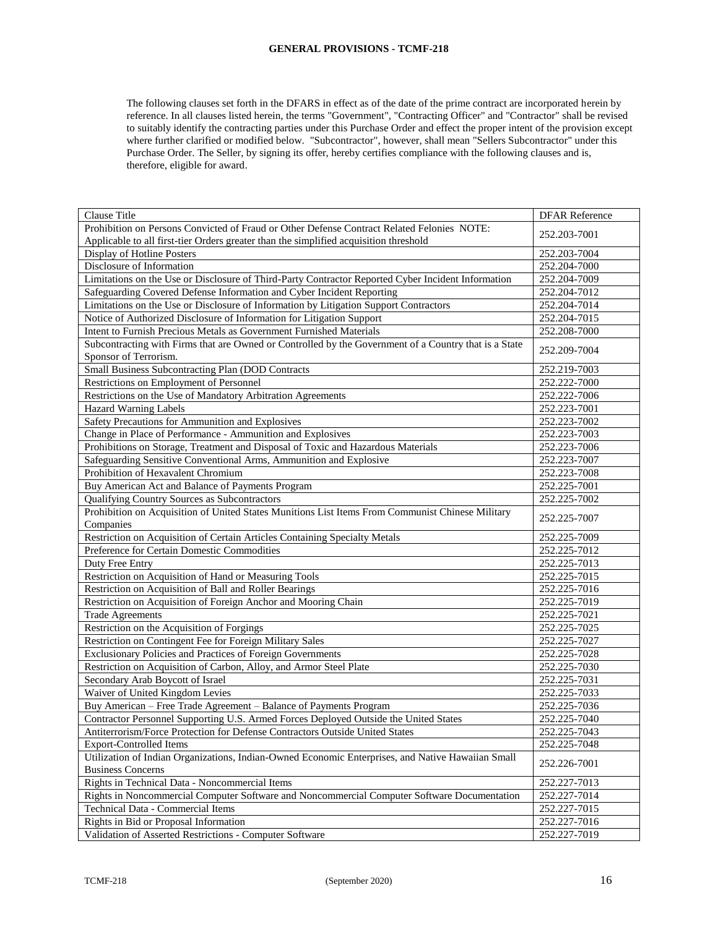The following clauses set forth in the DFARS in effect as of the date of the prime contract are incorporated herein by reference. In all clauses listed herein, the terms "Government", "Contracting Officer" and "Contractor" shall be revised to suitably identify the contracting parties under this Purchase Order and effect the proper intent of the provision except where further clarified or modified below. "Subcontractor", however, shall mean "Sellers Subcontractor" under this Purchase Order. The Seller, by signing its offer, hereby certifies compliance with the following clauses and is, therefore, eligible for award.

| Clause Title                                                                                                                  | <b>DFAR Reference</b> |
|-------------------------------------------------------------------------------------------------------------------------------|-----------------------|
| Prohibition on Persons Convicted of Fraud or Other Defense Contract Related Felonies NOTE:                                    |                       |
| Applicable to all first-tier Orders greater than the simplified acquisition threshold                                         | 252.203-7001          |
| Display of Hotline Posters                                                                                                    | 252.203-7004          |
| Disclosure of Information                                                                                                     | 252.204-7000          |
| Limitations on the Use or Disclosure of Third-Party Contractor Reported Cyber Incident Information                            | 252.204-7009          |
| Safeguarding Covered Defense Information and Cyber Incident Reporting                                                         | 252.204-7012          |
| Limitations on the Use or Disclosure of Information by Litigation Support Contractors                                         | 252.204-7014          |
| Notice of Authorized Disclosure of Information for Litigation Support                                                         | 252.204-7015          |
| Intent to Furnish Precious Metals as Government Furnished Materials                                                           | 252.208-7000          |
| Subcontracting with Firms that are Owned or Controlled by the Government of a Country that is a State                         |                       |
| Sponsor of Terrorism.                                                                                                         | 252.209-7004          |
| Small Business Subcontracting Plan (DOD Contracts                                                                             | 252.219-7003          |
| Restrictions on Employment of Personnel                                                                                       | 252.222-7000          |
| Restrictions on the Use of Mandatory Arbitration Agreements                                                                   | 252.222-7006          |
| <b>Hazard Warning Labels</b>                                                                                                  | 252.223-7001          |
| Safety Precautions for Ammunition and Explosives                                                                              | 252.223-7002          |
| Change in Place of Performance - Ammunition and Explosives                                                                    | 252.223-7003          |
| Prohibitions on Storage, Treatment and Disposal of Toxic and Hazardous Materials                                              | 252.223-7006          |
| Safeguarding Sensitive Conventional Arms, Ammunition and Explosive                                                            | 252.223-7007          |
| Prohibition of Hexavalent Chromium                                                                                            | 252.223-7008          |
| Buy American Act and Balance of Payments Program                                                                              | 252.225-7001          |
| Qualifying Country Sources as Subcontractors                                                                                  | 252.225-7002          |
| Prohibition on Acquisition of United States Munitions List Items From Communist Chinese Military                              |                       |
| Companies                                                                                                                     | 252.225-7007          |
| Restriction on Acquisition of Certain Articles Containing Specialty Metals                                                    | 252.225-7009          |
| Preference for Certain Domestic Commodities                                                                                   | 252.225-7012          |
| Duty Free Entry                                                                                                               | 252.225-7013          |
| Restriction on Acquisition of Hand or Measuring Tools                                                                         | 252.225-7015          |
| Restriction on Acquisition of Ball and Roller Bearings                                                                        | 252.225-7016          |
| Restriction on Acquisition of Foreign Anchor and Mooring Chain                                                                | 252.225-7019          |
| <b>Trade Agreements</b>                                                                                                       | 252.225-7021          |
| Restriction on the Acquisition of Forgings                                                                                    | 252.225-7025          |
| Restriction on Contingent Fee for Foreign Military Sales                                                                      | 252.225-7027          |
| Exclusionary Policies and Practices of Foreign Governments                                                                    | 252.225-7028          |
| Restriction on Acquisition of Carbon, Alloy, and Armor Steel Plate                                                            | 252.225-7030          |
| Secondary Arab Boycott of Israel                                                                                              | 252.225-7031          |
| Waiver of United Kingdom Levies                                                                                               | 252.225-7033          |
| Buy American - Free Trade Agreement - Balance of Payments Program                                                             | 252.225-7036          |
| Contractor Personnel Supporting U.S. Armed Forces Deployed Outside the United States                                          | 252.225-7040          |
| Antiterrorism/Force Protection for Defense Contractors Outside United States                                                  | 252.225-7043          |
| <b>Export-Controlled Items</b>                                                                                                | 252.225-7048          |
| Utilization of Indian Organizations, Indian-Owned Economic Enterprises, and Native Hawaiian Small<br><b>Business Concerns</b> | 252.226-7001          |
| Rights in Technical Data - Noncommercial Items                                                                                | 252.227-7013          |
| Rights in Noncommercial Computer Software and Noncommercial Computer Software Documentation                                   | 252.227-7014          |
| Technical Data - Commercial Items                                                                                             | 252.227-7015          |
| Rights in Bid or Proposal Information                                                                                         | 252.227-7016          |
| Validation of Asserted Restrictions - Computer Software                                                                       | 252.227-7019          |
|                                                                                                                               |                       |